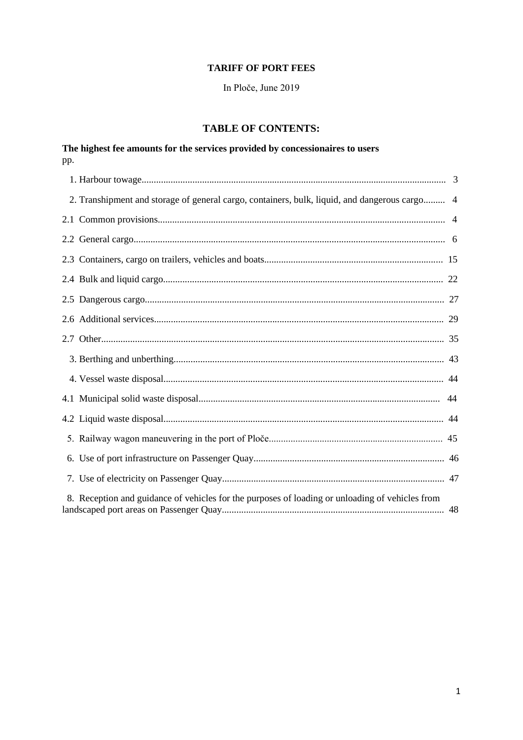#### **TARIFF OF PORT FEES**

In Ploče, June 2019

# **TABLE OF CONTENTS:**

| pp. | The highest fee amounts for the services provided by concessionaires to users                   |  |
|-----|-------------------------------------------------------------------------------------------------|--|
|     |                                                                                                 |  |
|     | 2. Transhipment and storage of general cargo, containers, bulk, liquid, and dangerous cargo 4   |  |
|     |                                                                                                 |  |
|     |                                                                                                 |  |
|     |                                                                                                 |  |
|     |                                                                                                 |  |
|     |                                                                                                 |  |
|     |                                                                                                 |  |
|     |                                                                                                 |  |
|     |                                                                                                 |  |
|     |                                                                                                 |  |
|     |                                                                                                 |  |
|     |                                                                                                 |  |
|     |                                                                                                 |  |
|     |                                                                                                 |  |
|     |                                                                                                 |  |
|     | 8. Reception and guidance of vehicles for the purposes of loading or unloading of vehicles from |  |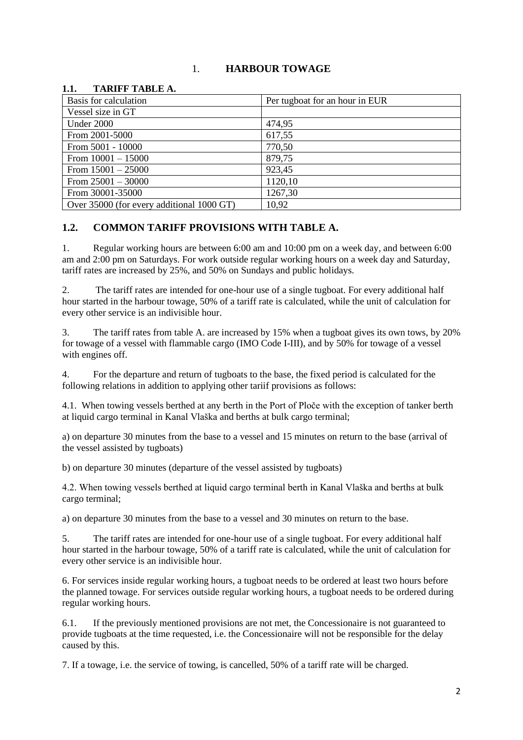## 1. **HARBOUR TOWAGE**

### Basis for calculation **Per tugboat for an hour in EUR** Vessel size in GT Under 2000 474.95 From 2001-5000 617,55 From 5001 - 10000 770,50 From  $10001 - 15000$  879,75 From  $15001 - 25000$  923,45 From  $25001 - 30000$  1120,10 From 30001-35000 1267,30 Over 35000 (for every additional 1000 GT) 10,92

#### **1.1. TARIFF TABLE A.**

## **1.2. COMMON TARIFF PROVISIONS WITH TABLE A.**

1. Regular working hours are between 6:00 am and 10:00 pm on a week day, and between 6:00 am and 2:00 pm on Saturdays. For work outside regular working hours on a week day and Saturday, tariff rates are increased by 25%, and 50% on Sundays and public holidays.

2. The tariff rates are intended for one-hour use of a single tugboat. For every additional half hour started in the harbour towage, 50% of a tariff rate is calculated, while the unit of calculation for every other service is an indivisible hour.

3. The tariff rates from table A. are increased by 15% when a tugboat gives its own tows, by 20% for towage of a vessel with flammable cargo (IMO Code I-III), and by 50% for towage of a vessel with engines off.

4. For the departure and return of tugboats to the base, the fixed period is calculated for the following relations in addition to applying other tariif provisions as follows:

4.1. When towing vessels berthed at any berth in the Port of Ploče with the exception of tanker berth at liquid cargo terminal in Kanal Vlaška and berths at bulk cargo terminal;

a) on departure 30 minutes from the base to a vessel and 15 minutes on return to the base (arrival of the vessel assisted by tugboats)

b) on departure 30 minutes (departure of the vessel assisted by tugboats)

4.2. When towing vessels berthed at liquid cargo terminal berth in Kanal Vlaška and berths at bulk cargo terminal;

a) on departure 30 minutes from the base to a vessel and 30 minutes on return to the base.

5. The tariff rates are intended for one-hour use of a single tugboat. For every additional half hour started in the harbour towage, 50% of a tariff rate is calculated, while the unit of calculation for every other service is an indivisible hour.

6. For services inside regular working hours, a tugboat needs to be ordered at least two hours before the planned towage. For services outside regular working hours, a tugboat needs to be ordered during regular working hours.

6.1. If the previously mentioned provisions are not met, the Concessionaire is not guaranteed to provide tugboats at the time requested, i.e. the Concessionaire will not be responsible for the delay caused by this.

7. If a towage, i.e. the service of towing, is cancelled, 50% of a tariff rate will be charged.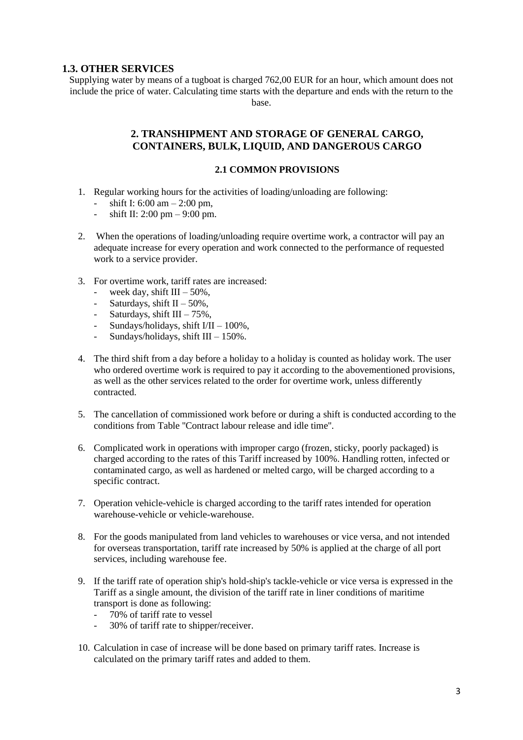#### **1.3. OTHER SERVICES**

Supplying water by means of a tugboat is charged 762,00 EUR for an hour, which amount does not include the price of water. Calculating time starts with the departure and ends with the return to the base.

#### **2. TRANSHIPMENT AND STORAGE OF GENERAL CARGO, CONTAINERS, BULK, LIQUID, AND DANGEROUS CARGO**

#### **2.1 COMMON PROVISIONS**

- 1. Regular working hours for the activities of loading/unloading are following:
	- shift I:  $6:00 \text{ am} 2:00 \text{ pm}$ ,
	- shift II:  $2:00 \text{ pm} 9:00 \text{ pm}$ .
- 2. When the operations of loading/unloading require overtime work, a contractor will pay an adequate increase for every operation and work connected to the performance of requested work to a service provider.
- 3. For overtime work, tariff rates are increased:
	- week day, shift  $III 50\%$ ,
	- Saturdays, shift  $II 50\%$ ,
	- Saturdays, shift  $III 75\%$ ,
	- Sundays/holidays, shift  $I/II 100\%$ ,
	- Sundays/holidays, shift  $III 150\%$ .
- 4. The third shift from a day before a holiday to a holiday is counted as holiday work. The user who ordered overtime work is required to pay it according to the abovementioned provisions, as well as the other services related to the order for overtime work, unless differently contracted.
- 5. The cancellation of commissioned work before or during a shift is conducted according to the conditions from Table ''Contract labour release and idle time''.
- 6. Complicated work in operations with improper cargo (frozen, sticky, poorly packaged) is charged according to the rates of this Tariff increased by 100%. Handling rotten, infected or contaminated cargo, as well as hardened or melted cargo, will be charged according to a specific contract.
- 7. Operation vehicle-vehicle is charged according to the tariff rates intended for operation warehouse-vehicle or vehicle-warehouse.
- 8. For the goods manipulated from land vehicles to warehouses or vice versa, and not intended for overseas transportation, tariff rate increased by 50% is applied at the charge of all port services, including warehouse fee.
- 9. If the tariff rate of operation ship's hold-ship's tackle-vehicle or vice versa is expressed in the Tariff as a single amount, the division of the tariff rate in liner conditions of maritime transport is done as following:
	- 70% of tariff rate to vessel
	- 30% of tariff rate to shipper/receiver.
- 10. Calculation in case of increase will be done based on primary tariff rates. Increase is calculated on the primary tariff rates and added to them.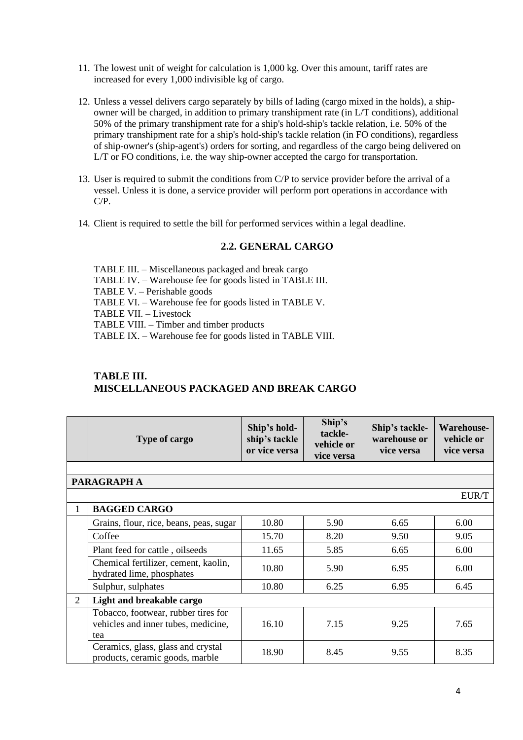- 11. The lowest unit of weight for calculation is 1,000 kg. Over this amount, tariff rates are increased for every 1,000 indivisible kg of cargo.
- 12. Unless a vessel delivers cargo separately by bills of lading (cargo mixed in the holds), a shipowner will be charged, in addition to primary transhipment rate (in L/T conditions), additional 50% of the primary transhipment rate for a ship's hold-ship's tackle relation, i.e. 50% of the primary transhipment rate for a ship's hold-ship's tackle relation (in FO conditions), regardless of ship-owner's (ship-agent's) orders for sorting, and regardless of the cargo being delivered on L/T or FO conditions, i.e. the way ship-owner accepted the cargo for transportation.
- 13. User is required to submit the conditions from C/P to service provider before the arrival of a vessel. Unless it is done, a service provider will perform port operations in accordance with C/P.
- 14. Client is required to settle the bill for performed services within a legal deadline.

#### **2.2. GENERAL CARGO**

TABLE III. – Miscellaneous packaged and break cargo TABLE IV. – Warehouse fee for goods listed in TABLE III. TABLE V. – Perishable goods TABLE VI. – Warehouse fee for goods listed in TABLE V. TABLE VII. – Livestock TABLE VIII. – Timber and timber products TABLE IX. – Warehouse fee for goods listed in TABLE VIII.

# **TABLE III. MISCELLANEOUS PACKAGED AND BREAK CARGO**

|   | Type of cargo                                                                     | Ship's hold-<br>ship's tackle<br>or vice versa | Ship's<br>tackle-<br>vehicle or<br>vice versa | Ship's tackle-<br>warehouse or<br>vice versa | Warehouse-<br>vehicle or<br>vice versa |
|---|-----------------------------------------------------------------------------------|------------------------------------------------|-----------------------------------------------|----------------------------------------------|----------------------------------------|
|   |                                                                                   |                                                |                                               |                                              |                                        |
|   | PARAGRAPH A                                                                       |                                                |                                               |                                              |                                        |
|   |                                                                                   |                                                |                                               |                                              | EUR/T                                  |
| 1 | <b>BAGGED CARGO</b>                                                               |                                                |                                               |                                              |                                        |
|   | Grains, flour, rice, beans, peas, sugar                                           | 10.80                                          | 5.90                                          | 6.65                                         | 6.00                                   |
|   | Coffee                                                                            | 15.70                                          | 8.20                                          | 9.50                                         | 9.05                                   |
|   | Plant feed for cattle, oilseeds                                                   | 11.65                                          | 5.85                                          | 6.65                                         | 6.00                                   |
|   | Chemical fertilizer, cement, kaolin,<br>hydrated lime, phosphates                 | 10.80                                          | 5.90                                          | 6.95                                         | 6.00                                   |
|   | Sulphur, sulphates                                                                | 10.80                                          | 6.25                                          | 6.95                                         | 6.45                                   |
| 2 | Light and breakable cargo                                                         |                                                |                                               |                                              |                                        |
|   | Tobacco, footwear, rubber tires for<br>vehicles and inner tubes, medicine,<br>tea | 16.10                                          | 7.15                                          | 9.25                                         | 7.65                                   |
|   | Ceramics, glass, glass and crystal<br>products, ceramic goods, marble             | 18.90                                          | 8.45                                          | 9.55                                         | 8.35                                   |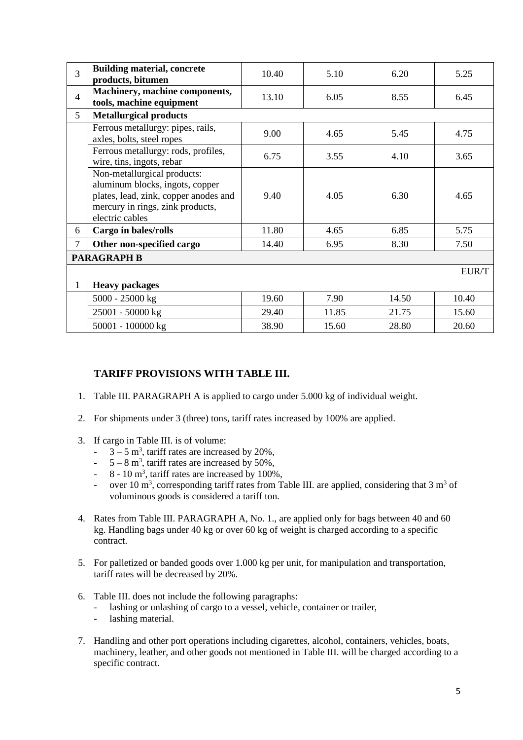| 3              | <b>Building material, concrete</b><br>products, bitumen                                                                                                        | 10.40 | 5.10  | 6.20  | 5.25  |
|----------------|----------------------------------------------------------------------------------------------------------------------------------------------------------------|-------|-------|-------|-------|
| $\overline{4}$ | Machinery, machine components,<br>tools, machine equipment                                                                                                     | 13.10 | 6.05  | 8.55  | 6.45  |
| $\mathfrak{S}$ | <b>Metallurgical products</b>                                                                                                                                  |       |       |       |       |
|                | Ferrous metallurgy: pipes, rails,<br>axles, bolts, steel ropes                                                                                                 | 9.00  | 4.65  | 5.45  | 4.75  |
|                | Ferrous metallurgy: rods, profiles,<br>wire, tins, ingots, rebar                                                                                               | 6.75  | 3.55  | 4.10  | 3.65  |
|                | Non-metallurgical products:<br>aluminum blocks, ingots, copper<br>plates, lead, zink, copper anodes and<br>mercury in rings, zink products,<br>electric cables | 9.40  | 4.05  | 6.30  | 4.65  |
| 6              | Cargo in bales/rolls                                                                                                                                           | 11.80 | 4.65  | 6.85  | 5.75  |
| 7              | Other non-specified cargo                                                                                                                                      | 14.40 | 6.95  | 8.30  | 7.50  |
|                | <b>PARAGRAPH B</b>                                                                                                                                             |       |       |       |       |
|                | EUR/T                                                                                                                                                          |       |       |       |       |
| 1              | <b>Heavy packages</b>                                                                                                                                          |       |       |       |       |
|                | 5000 - 25000 kg                                                                                                                                                | 19.60 | 7.90  | 14.50 | 10.40 |
|                | 25001 - 50000 kg                                                                                                                                               | 29.40 | 11.85 | 21.75 | 15.60 |
|                | 50001 - 100000 kg                                                                                                                                              | 38.90 | 15.60 | 28.80 | 20.60 |

## **TARIFF PROVISIONS WITH TABLE III.**

- 1. Table III. PARAGRAPH A is applied to cargo under 5.000 kg of individual weight.
- 2. For shipments under 3 (three) tons, tariff rates increased by 100% are applied.
- 3. If cargo in Table III. is of volume:
	- $-3-5$  m<sup>3</sup>, tariff rates are increased by 20%,
	- $-5-8$  m<sup>3</sup>, tariff rates are increased by 50%,
	- $-8 10$  m<sup>3</sup>, tariff rates are increased by 100%,
	- over 10 m<sup>3</sup>, corresponding tariff rates from Table III. are applied, considering that  $3 \text{ m}^3$  of voluminous goods is considered a tariff ton.
- 4. Rates from Table III. PARAGRAPH A, No. 1., are applied only for bags between 40 and 60 kg. Handling bags under 40 kg or over 60 kg of weight is charged according to a specific contract.
- 5. For palletized or banded goods over 1.000 kg per unit, for manipulation and transportation, tariff rates will be decreased by 20%.
- 6. Table III. does not include the following paragraphs:
	- lashing or unlashing of cargo to a vessel, vehicle, container or trailer,
	- lashing material.
- 7. Handling and other port operations including cigarettes, alcohol, containers, vehicles, boats, machinery, leather, and other goods not mentioned in Table III. will be charged according to a specific contract.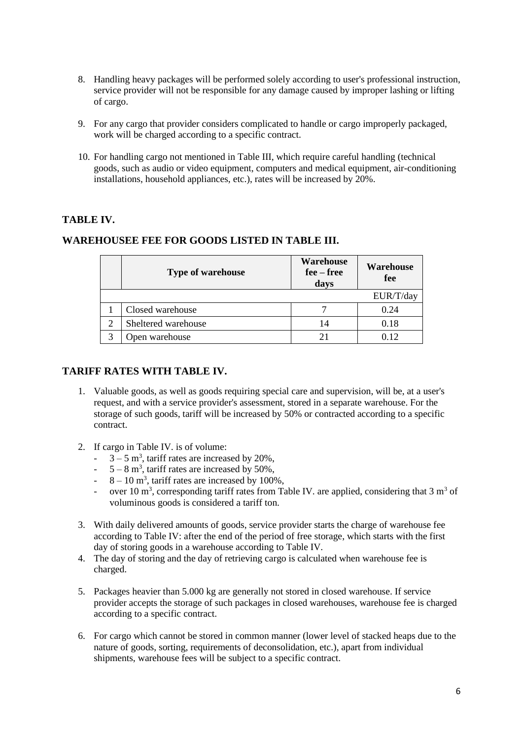- 8. Handling heavy packages will be performed solely according to user's professional instruction, service provider will not be responsible for any damage caused by improper lashing or lifting of cargo.
- 9. For any cargo that provider considers complicated to handle or cargo improperly packaged, work will be charged according to a specific contract.
- 10. For handling cargo not mentioned in Table III, which require careful handling (technical goods, such as audio or video equipment, computers and medical equipment, air-conditioning installations, household appliances, etc.), rates will be increased by 20%.

# **TABLE IV.**

| <b>Type of warehouse</b> | <b>Warehouse</b><br>$fee - free$<br>days | <b>Warehouse</b><br>fee |
|--------------------------|------------------------------------------|-------------------------|
|                          |                                          | EUR/T/day               |
| Closed warehouse         |                                          | 0.24                    |
| Sheltered warehouse      | 14                                       | 0.18                    |
| Open warehouse           |                                          |                         |

## **WAREHOUSEE FEE FOR GOODS LISTED IN TABLE III.**

### **TARIFF RATES WITH TABLE IV.**

- 1. Valuable goods, as well as goods requiring special care and supervision, will be, at a user's request, and with a service provider's assessment, stored in a separate warehouse. For the storage of such goods, tariff will be increased by 50% or contracted according to a specific contract.
- 2. If cargo in Table IV. is of volume:
	- $-3-5$  m<sup>3</sup>, tariff rates are increased by 20%,
	- $-5-8$  m<sup>3</sup>, tariff rates are increased by 50%,
	- $-8 10$  m<sup>3</sup>, tariff rates are increased by 100%,
	- over 10 m<sup>3</sup>, corresponding tariff rates from Table IV. are applied, considering that  $3 \text{ m}^3$  of voluminous goods is considered a tariff ton.
- 3. With daily delivered amounts of goods, service provider starts the charge of warehouse fee according to Table IV: after the end of the period of free storage, which starts with the first day of storing goods in a warehouse according to Table IV.
- 4. The day of storing and the day of retrieving cargo is calculated when warehouse fee is charged.
- 5. Packages heavier than 5.000 kg are generally not stored in closed warehouse. If service provider accepts the storage of such packages in closed warehouses, warehouse fee is charged according to a specific contract.
- 6. For cargo which cannot be stored in common manner (lower level of stacked heaps due to the nature of goods, sorting, requirements of deconsolidation, etc.), apart from individual shipments, warehouse fees will be subject to a specific contract.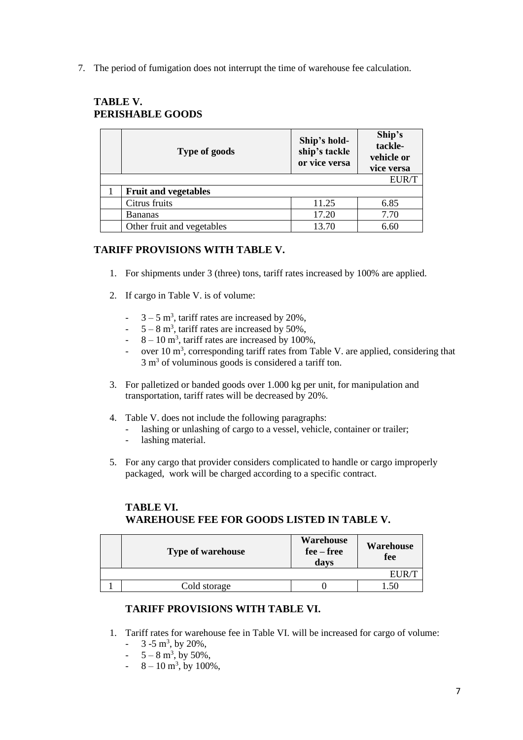7. The period of fumigation does not interrupt the time of warehouse fee calculation.

| Type of goods               | Ship's hold-<br>ship's tackle<br>or vice versa | Ship's<br>tackle-<br>vehicle or<br>vice versa |
|-----------------------------|------------------------------------------------|-----------------------------------------------|
|                             |                                                | EUR/T                                         |
| <b>Fruit and vegetables</b> |                                                |                                               |
| Citrus fruits               | 11.25                                          | 6.85                                          |
| <b>Bananas</b>              | 17.20                                          | 7.70                                          |
| Other fruit and vegetables  | 13.70                                          | 6.60                                          |

# **TABLE V. PERISHABLE GOODS**

# **TARIFF PROVISIONS WITH TABLE V.**

- 1. For shipments under 3 (three) tons, tariff rates increased by 100% are applied.
- 2. If cargo in Table V. is of volume:
	- $-3-5$  m<sup>3</sup>, tariff rates are increased by 20%,
	- $-5-8$  m<sup>3</sup>, tariff rates are increased by 50%,
	- $-8 10$  m<sup>3</sup>, tariff rates are increased by 100%,
	- over 10  $\text{m}^3$ , corresponding tariff rates from Table V. are applied, considering that  $3 \text{ m}^3$  of voluminous goods is considered a tariff ton.
- 3. For palletized or banded goods over 1.000 kg per unit, for manipulation and transportation, tariff rates will be decreased by 20%.
- 4. Table V. does not include the following paragraphs:
	- lashing or unlashing of cargo to a vessel, vehicle, container or trailer;
	- lashing material.
- 5. For any cargo that provider considers complicated to handle or cargo improperly packaged, work will be charged according to a specific contract.

# **TABLE VI. WAREHOUSE FEE FOR GOODS LISTED IN TABLE V.**

| <b>Type of warehouse</b> | <b>Warehouse</b><br>$fee - free$<br>days | Warehouse<br>fee |
|--------------------------|------------------------------------------|------------------|
|                          |                                          |                  |
| Cold storage             |                                          |                  |

## **TARIFF PROVISIONS WITH TABLE VI.**

- 1. Tariff rates for warehouse fee in Table VI. will be increased for cargo of volume:
	- $-3 5$  m<sup>3</sup>, by 20%,
	- $-5 8 \text{ m}^3$ , by 50%,
	- $-8 10 \text{ m}^3$ , by 100%,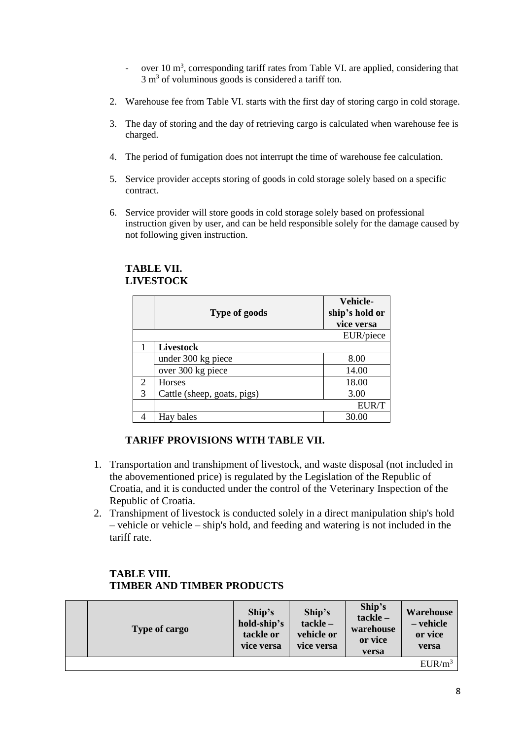- over  $10 \text{ m}^3$ , corresponding tariff rates from Table VI. are applied, considering that  $3 \text{ m}^3$  of voluminous goods is considered a tariff ton.
- 2. Warehouse fee from Table VI. starts with the first day of storing cargo in cold storage.
- 3. The day of storing and the day of retrieving cargo is calculated when warehouse fee is charged.
- 4. The period of fumigation does not interrupt the time of warehouse fee calculation.
- 5. Service provider accepts storing of goods in cold storage solely based on a specific contract.
- 6. Service provider will store goods in cold storage solely based on professional instruction given by user, and can be held responsible solely for the damage caused by not following given instruction.

|   | <b>Type of goods</b>        | <b>Vehicle-</b><br>ship's hold or |
|---|-----------------------------|-----------------------------------|
|   |                             | vice versa                        |
|   |                             | EUR/piece                         |
|   | Livestock                   |                                   |
|   | under 300 kg piece          | 8.00                              |
|   | over 300 kg piece           | 14.00                             |
| 2 | Horses                      | 18.00                             |
| 3 | Cattle (sheep, goats, pigs) | 3.00                              |
|   |                             | <b>EUR/T</b>                      |
|   | Hay bales                   | 30.00                             |

## **TABLE VII. LIVESTOCK**

#### **TARIFF PROVISIONS WITH TABLE VII.**

- 1. Transportation and transhipment of livestock, and waste disposal (not included in the abovementioned price) is regulated by the Legislation of the Republic of Croatia, and it is conducted under the control of the Veterinary Inspection of the Republic of Croatia.
- 2. Transhipment of livestock is conducted solely in a direct manipulation ship's hold – vehicle or vehicle – ship's hold, and feeding and watering is not included in the tariff rate.

## **TABLE VIII. TIMBER AND TIMBER PRODUCTS**

| Type of cargo | Ship's<br>hold-ship's<br>tackle or<br>vice versa | Ship's<br>$tackle -$<br>vehicle or<br>vice versa | Ship's<br>$tackle -$<br>warehouse<br>or vice<br>versa | <b>Warehouse</b><br>- vehicle<br>or vice<br>versa |
|---------------|--------------------------------------------------|--------------------------------------------------|-------------------------------------------------------|---------------------------------------------------|
|               |                                                  |                                                  |                                                       | $EUR/m^3$                                         |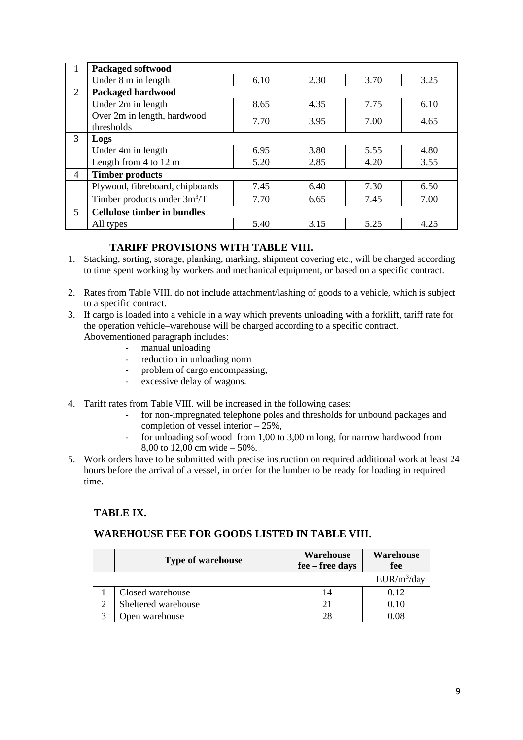|                         | <b>Packaged softwood</b>                  |      |      |      |      |
|-------------------------|-------------------------------------------|------|------|------|------|
|                         | Under 8 m in length                       | 6.10 | 2.30 | 3.70 | 3.25 |
| 2                       | <b>Packaged hardwood</b>                  |      |      |      |      |
|                         | Under 2m in length                        | 8.65 | 4.35 | 7.75 | 6.10 |
|                         | Over 2m in length, hardwood<br>thresholds | 7.70 | 3.95 | 7.00 | 4.65 |
| 3                       | Logs                                      |      |      |      |      |
|                         | Under 4m in length                        | 6.95 | 3.80 | 5.55 | 4.80 |
|                         | Length from $4$ to $12 \text{ m}$         | 5.20 | 2.85 | 4.20 | 3.55 |
| $\overline{4}$          | <b>Timber products</b>                    |      |      |      |      |
|                         | Plywood, fibreboard, chipboards           | 7.45 | 6.40 | 7.30 | 6.50 |
|                         | Timber products under $3m^3/T$            | 7.70 | 6.65 | 7.45 | 7.00 |
| $\overline{\mathbf{5}}$ | <b>Cellulose timber in bundles</b>        |      |      |      |      |
|                         | All types                                 | 5.40 | 3.15 | 5.25 | 4.25 |

## **TARIFF PROVISIONS WITH TABLE VIII.**

- 1. Stacking, sorting, storage, planking, marking, shipment covering etc., will be charged according to time spent working by workers and mechanical equipment, or based on a specific contract.
- 2. Rates from Table VIII. do not include attachment/lashing of goods to a vehicle, which is subject to a specific contract.
- 3. If cargo is loaded into a vehicle in a way which prevents unloading with a forklift, tariff rate for the operation vehicle–warehouse will be charged according to a specific contract. Abovementioned paragraph includes:
	- manual unloading
	- reduction in unloading norm
	- problem of cargo encompassing,
	- excessive delay of wagons.
- 4. Tariff rates from Table VIII. will be increased in the following cases:
	- for non-impregnated telephone poles and thresholds for unbound packages and completion of vessel interior  $-25%$ ,
	- for unloading softwood from 1,00 to 3,00 m long, for narrow hardwood from 8,00 to 12,00 cm wide – 50%.
- 5. Work orders have to be submitted with precise instruction on required additional work at least 24 hours before the arrival of a vessel, in order for the lumber to be ready for loading in required time.

## **TABLE IX.**

#### **WAREHOUSE FEE FOR GOODS LISTED IN TABLE VIII.**

| <b>Type of warehouse</b> | <b>Warehouse</b><br>fee – free days | <b>Warehouse</b><br>fee |
|--------------------------|-------------------------------------|-------------------------|
|                          |                                     | $EUR/m^3$ /day          |
| Closed warehouse         | 14                                  | 0.12                    |
| Sheltered warehouse      |                                     | 0.10                    |
| Open warehouse           | 28                                  |                         |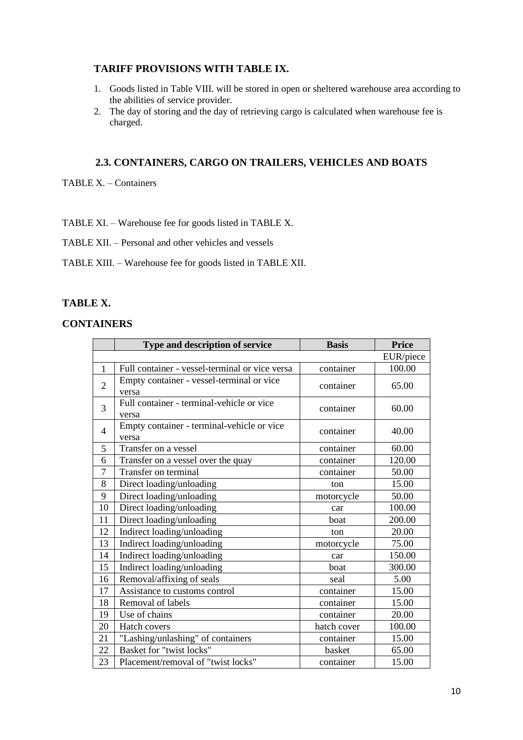## **TARIFF PROVISIONS WITH TABLE IX.**

- 1. Goods listed in Table VIII. will be stored in open or sheltered warehouse area according to the abilities of service provider.
- 2. The day of storing and the day of retrieving cargo is calculated when warehouse fee is charged.

# **2.3. CONTAINERS, CARGO ON TRAILERS, VEHICLES AND BOATS**

TABLE X. – Containers

TABLE XI. – Warehouse fee for goods listed in TABLE X.

TABLE XII. – Personal and other vehicles and vessels

TABLE XIII. – Warehouse fee for goods listed in TABLE XII.

### **TABLE X.**

#### **CONTAINERS**

|                | Type and description of service                     | <b>Basis</b> | <b>Price</b> |
|----------------|-----------------------------------------------------|--------------|--------------|
|                |                                                     |              | EUR/piece    |
| 1              | Full container - vessel-terminal or vice versa      | container    | 100.00       |
| $\overline{2}$ | Empty container - vessel-terminal or vice<br>versa  | container    | 65.00        |
| 3              | Full container - terminal-vehicle or vice<br>versa  | container    | 60.00        |
| 4              | Empty container - terminal-vehicle or vice<br>versa | container    | 40.00        |
| 5              | Transfer on a vessel                                | container    | 60.00        |
| 6              | Transfer on a vessel over the quay                  | container    | 120.00       |
| $\overline{7}$ | Transfer on terminal                                | container    | 50.00        |
| 8              | Direct loading/unloading                            | ton          | 15.00        |
| 9              | Direct loading/unloading                            | motorcycle   | 50.00        |
| 10             | Direct loading/unloading                            | car          | 100.00       |
| 11             | Direct loading/unloading                            | boat         | 200.00       |
| 12             | Indirect loading/unloading                          | ton          | 20.00        |
| 13             | Indirect loading/unloading                          | motorcycle   | 75.00        |
| 14             | Indirect loading/unloading                          | car          | 150.00       |
| 15             | Indirect loading/unloading                          | boat         | 300.00       |
| 16             | Removal/affixing of seals                           | seal         | 5.00         |
| 17             | Assistance to customs control                       | container    | 15.00        |
| 18             | Removal of labels                                   | container    | 15.00        |
| 19             | Use of chains                                       | container    | 20.00        |
| 20             | Hatch covers                                        | hatch cover  | 100.00       |
| 21             | "Lashing/unlashing" of containers                   | container    | 15.00        |
| 22             | Basket for "twist locks"                            | basket       | 65.00        |
| 23             | Placement/removal of "twist locks"                  | container    | 15.00        |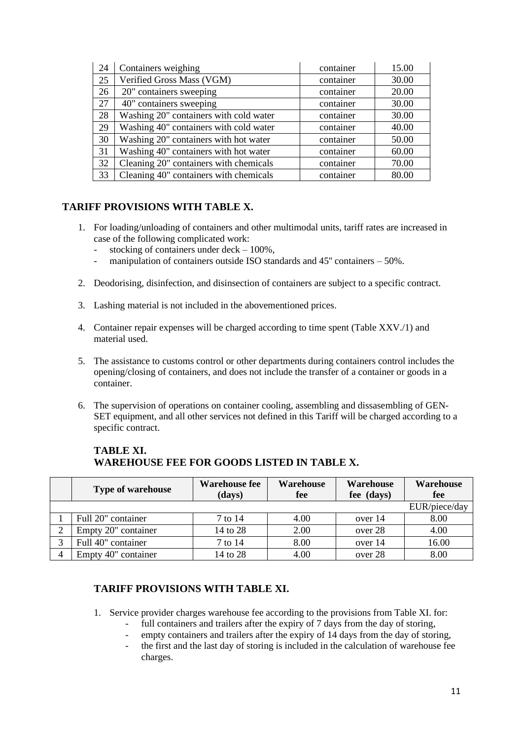| 24 | Containers weighing                    | container | 15.00 |
|----|----------------------------------------|-----------|-------|
| 25 | Verified Gross Mass (VGM)              | container | 30.00 |
| 26 | 20" containers sweeping                | container | 20.00 |
| 27 | 40" containers sweeping                | container | 30.00 |
| 28 | Washing 20" containers with cold water | container | 30.00 |
| 29 | Washing 40" containers with cold water | container | 40.00 |
| 30 | Washing 20" containers with hot water  | container | 50.00 |
| 31 | Washing 40" containers with hot water  | container | 60.00 |
| 32 | Cleaning 20" containers with chemicals | container | 70.00 |
| 33 | Cleaning 40" containers with chemicals | container | 80.00 |

# **TARIFF PROVISIONS WITH TABLE X.**

- 1. For loading/unloading of containers and other multimodal units, tariff rates are increased in case of the following complicated work:
	- stocking of containers under deck  $-100\%$ ,
	- manipulation of containers outside ISO standards and 45" containers 50%.
- 2. Deodorising, disinfection, and disinsection of containers are subject to a specific contract.
- 3. Lashing material is not included in the abovementioned prices.
- 4. Container repair expenses will be charged according to time spent (Table XXV./1) and material used.
- 5. The assistance to customs control or other departments during containers control includes the opening/closing of containers, and does not include the transfer of a container or goods in a container.
- 6. The supervision of operations on container cooling, assembling and dissasembling of GEN-SET equipment, and all other services not defined in this Tariff will be charged according to a specific contract.

| <b>Type of warehouse</b> | <b>Warehouse fee</b><br>(days) | Warehouse<br>fee | Warehouse<br>fee (days) | Warehouse<br>fee |
|--------------------------|--------------------------------|------------------|-------------------------|------------------|
|                          |                                |                  |                         | EUR/piece/day    |
| Full 20" container       | 7 to 14                        | 4.00             | over 14                 | 8.00             |
| Empty 20" container      | 14 to 28                       | 2.00             | over 28                 | 4.00             |
| Full 40" container       | 7 to 14                        | 8.00             | over 14                 | 16.00            |
| Empty 40" container      | 14 to 28                       | 4.00             | over 28                 | 8.00             |

# **TABLE XI. WAREHOUSE FEE FOR GOODS LISTED IN TABLE X.**

## **TARIFF PROVISIONS WITH TABLE XI.**

- 1. Service provider charges warehouse fee according to the provisions from Table XI. for:
	- full containers and trailers after the expiry of 7 days from the day of storing.
	- empty containers and trailers after the expiry of 14 days from the day of storing,
	- the first and the last day of storing is included in the calculation of warehouse fee charges.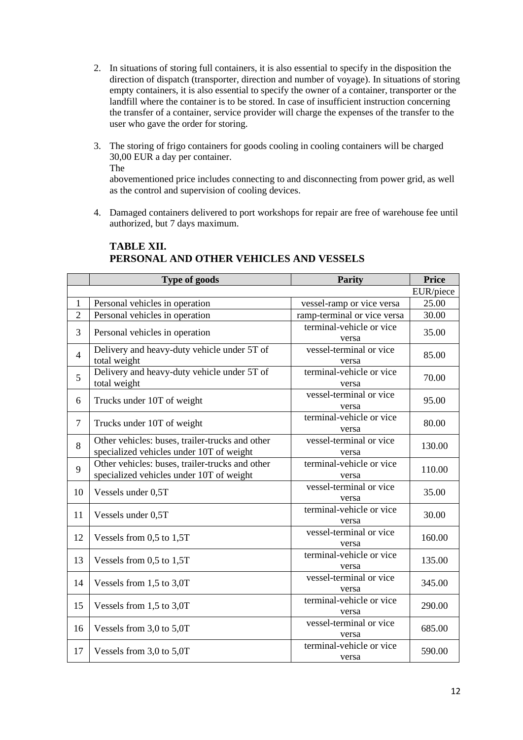- 2. In situations of storing full containers, it is also essential to specify in the disposition the direction of dispatch (transporter, direction and number of voyage). In situations of storing empty containers, it is also essential to specify the owner of a container, transporter or the landfill where the container is to be stored. In case of insufficient instruction concerning the transfer of a container, service provider will charge the expenses of the transfer to the user who gave the order for storing.
- 3. The storing of frigo containers for goods cooling in cooling containers will be charged 30,00 EUR a day per container. The abovementioned price includes connecting to and disconnecting from power grid, as well

as the control and supervision of cooling devices.

4. Damaged containers delivered to port workshops for repair are free of warehouse fee until authorized, but 7 days maximum.

|                | Type of goods                                                                               | <b>Parity</b>                     | <b>Price</b> |
|----------------|---------------------------------------------------------------------------------------------|-----------------------------------|--------------|
|                |                                                                                             |                                   | EUR/piece    |
| $\mathbf{1}$   | Personal vehicles in operation                                                              | vessel-ramp or vice versa         | 25.00        |
| $\overline{2}$ | Personal vehicles in operation                                                              | ramp-terminal or vice versa       | 30.00        |
| 3              | Personal vehicles in operation                                                              | terminal-vehicle or vice<br>versa | 35.00        |
| $\overline{4}$ | Delivery and heavy-duty vehicle under 5T of<br>total weight                                 | vessel-terminal or vice<br>versa  | 85.00        |
| 5              | Delivery and heavy-duty vehicle under 5T of<br>total weight                                 | terminal-vehicle or vice<br>versa | 70.00        |
| 6              | Trucks under 10T of weight                                                                  | vessel-terminal or vice<br>versa  | 95.00        |
| $\overline{7}$ | Trucks under 10T of weight                                                                  | terminal-vehicle or vice<br>versa | 80.00        |
| 8              | Other vehicles: buses, trailer-trucks and other<br>specialized vehicles under 10T of weight | vessel-terminal or vice<br>versa  | 130.00       |
| 9              | Other vehicles: buses, trailer-trucks and other<br>specialized vehicles under 10T of weight | terminal-vehicle or vice<br>versa | 110.00       |
| 10             | Vessels under 0,5T                                                                          | vessel-terminal or vice<br>versa  | 35.00        |
| 11             | Vessels under 0,5T                                                                          | terminal-vehicle or vice<br>versa | 30.00        |
| 12             | Vessels from 0,5 to 1,5T                                                                    | vessel-terminal or vice<br>versa  | 160.00       |
| 13             | Vessels from 0,5 to 1,5T                                                                    | terminal-vehicle or vice<br>versa | 135.00       |
| 14             | Vessels from 1,5 to 3,0T                                                                    | vessel-terminal or vice<br>versa  | 345.00       |
| 15             | Vessels from 1,5 to 3,0T                                                                    | terminal-vehicle or vice<br>versa | 290.00       |
| 16             | Vessels from 3,0 to 5,0T                                                                    | vessel-terminal or vice<br>versa  | 685.00       |
| 17             | Vessels from 3,0 to 5,0T                                                                    | terminal-vehicle or vice<br>versa | 590.00       |

# **TABLE XII. PERSONAL AND OTHER VEHICLES AND VESSELS**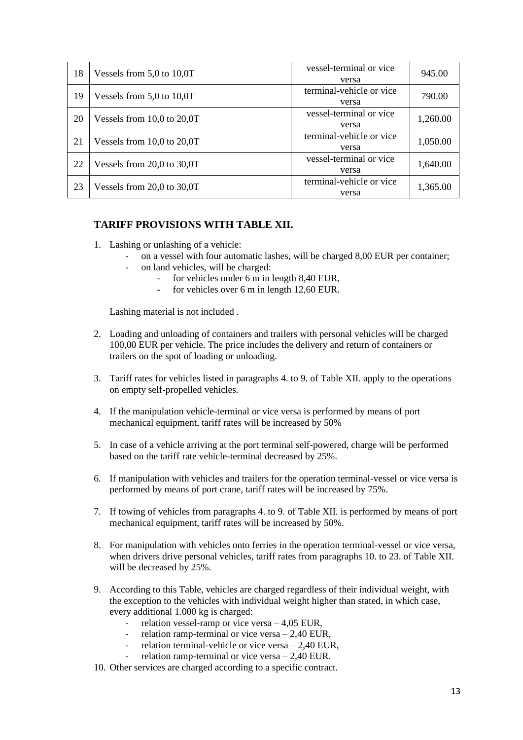| 18 | Vessels from $5.0$ to $10.0T$  | vessel-terminal or vice<br>versa  | 945.00   |
|----|--------------------------------|-----------------------------------|----------|
| 19 | Vessels from $5.0$ to $10.0T$  | terminal-vehicle or vice<br>versa | 790.00   |
| 20 | Vessels from $10,0$ to $20,0T$ | vessel-terminal or vice<br>versa  | 1,260.00 |
| 21 | Vessels from $10,0$ to $20,0T$ | terminal-vehicle or vice<br>versa | 1,050.00 |
| 22 | Vessels from $20,0$ to $30,0T$ | vessel-terminal or vice<br>versa  | 1,640.00 |
| 23 | Vessels from $20,0$ to $30,0T$ | terminal-vehicle or vice<br>versa | 1,365.00 |

## **TARIFF PROVISIONS WITH TABLE XII.**

- 1. Lashing or unlashing of a vehicle:
	- on a vessel with four automatic lashes, will be charged 8,00 EUR per container;
		- on land vehicles, will be charged:
			- for vehicles under 6 m in length 8,40 EUR,
			- for vehicles over 6 m in length 12,60 EUR.

Lashing material is not included .

- 2. Loading and unloading of containers and trailers with personal vehicles will be charged 100,00 EUR per vehicle. The price includes the delivery and return of containers or trailers on the spot of loading or unloading.
- 3. Tariff rates for vehicles listed in paragraphs 4. to 9. of Table XII. apply to the operations on empty self-propelled vehicles.
- 4. If the manipulation vehicle-terminal or vice versa is performed by means of port mechanical equipment, tariff rates will be increased by 50%
- 5. In case of a vehicle arriving at the port terminal self-powered, charge will be performed based on the tariff rate vehicle-terminal decreased by 25%.
- 6. If manipulation with vehicles and trailers for the operation terminal-vessel or vice versa is performed by means of port crane, tariff rates will be increased by 75%.
- 7. If towing of vehicles from paragraphs 4. to 9. of Table XII. is performed by means of port mechanical equipment, tariff rates will be increased by 50%.
- 8. For manipulation with vehicles onto ferries in the operation terminal-vessel or vice versa, when drivers drive personal vehicles, tariff rates from paragraphs 10. to 23. of Table XII. will be decreased by 25%.
- 9. According to this Table, vehicles are charged regardless of their individual weight, with the exception to the vehicles with individual weight higher than stated, in which case, every additional 1.000 kg is charged:
	- relation vessel-ramp or vice versa  $-4.05$  EUR,
	- relation ramp-terminal or vice versa  $2,40$  EUR,
	- relation terminal-vehicle or vice versa  $2,40$  EUR,
	- relation ramp-terminal or vice versa  $2,40$  EUR.
- 10. Other services are charged according to a specific contract.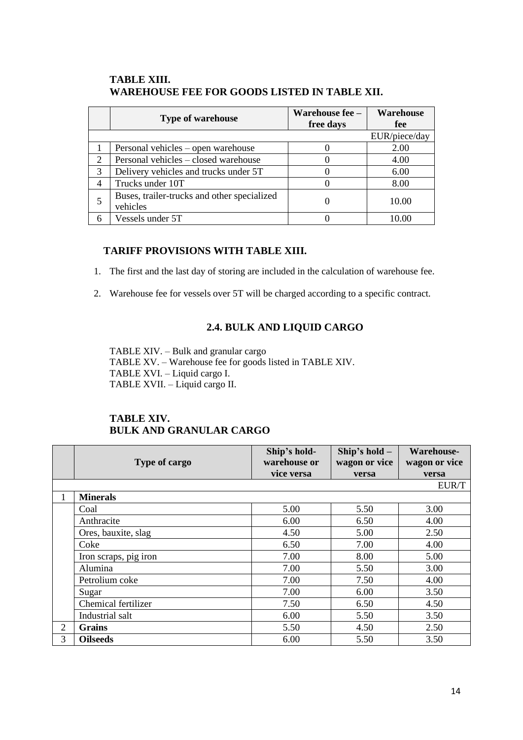## **TABLE XIII. WAREHOUSE FEE FOR GOODS LISTED IN TABLE XII.**

|   | <b>Type of warehouse</b>                                | Warehouse fee -<br>free days | <b>Warehouse</b><br>fee |
|---|---------------------------------------------------------|------------------------------|-------------------------|
|   |                                                         |                              | EUR/piece/day           |
|   | Personal vehicles – open warehouse                      |                              | 2.00                    |
| 2 | Personal vehicles – closed warehouse                    |                              | 4.00                    |
| 3 | Delivery vehicles and trucks under 5T                   |                              | 6.00                    |
| 4 | Trucks under 10T                                        |                              | 8.00                    |
|   | Buses, trailer-trucks and other specialized<br>vehicles |                              | 10.00                   |
|   | Vessels under 5T                                        |                              |                         |

## **TARIFF PROVISIONS WITH TABLE XIII.**

1. The first and the last day of storing are included in the calculation of warehouse fee.

2. Warehouse fee for vessels over 5T will be charged according to a specific contract.

# **2.4. BULK AND LIQUID CARGO**

TABLE XIV. – Bulk and granular cargo TABLE XV. – Warehouse fee for goods listed in TABLE XIV. TABLE XVI. – Liquid cargo I. TABLE XVII. – Liquid cargo II.

# **TABLE XIV. BULK AND GRANULAR CARGO**

|   | Type of cargo         | Ship's hold-<br>warehouse or | Ship's hold -<br>wagon or vice | <b>Warehouse-</b><br>wagon or vice |
|---|-----------------------|------------------------------|--------------------------------|------------------------------------|
|   |                       | vice versa                   | versa                          | versa                              |
|   |                       |                              |                                | EUR/T                              |
|   | <b>Minerals</b>       |                              |                                |                                    |
|   | Coal                  | 5.00                         | 5.50                           | 3.00                               |
|   | Anthracite            | 6.00                         | 6.50                           | 4.00                               |
|   | Ores, bauxite, slag   | 4.50                         | 5.00                           | 2.50                               |
|   | Coke                  | 6.50                         | 7.00                           | 4.00                               |
|   | Iron scraps, pig iron | 7.00                         | 8.00                           | 5.00                               |
|   | Alumina               | 7.00                         | 5.50                           | 3.00                               |
|   | Petrolium coke        | 7.00                         | 7.50                           | 4.00                               |
|   | Sugar                 | 7.00                         | 6.00                           | 3.50                               |
|   | Chemical fertilizer   | 7.50                         | 6.50                           | 4.50                               |
|   | Industrial salt       | 6.00                         | 5.50                           | 3.50                               |
| 2 | <b>Grains</b>         | 5.50                         | 4.50                           | 2.50                               |
| 3 | <b>Oilseeds</b>       | 6.00                         | 5.50                           | 3.50                               |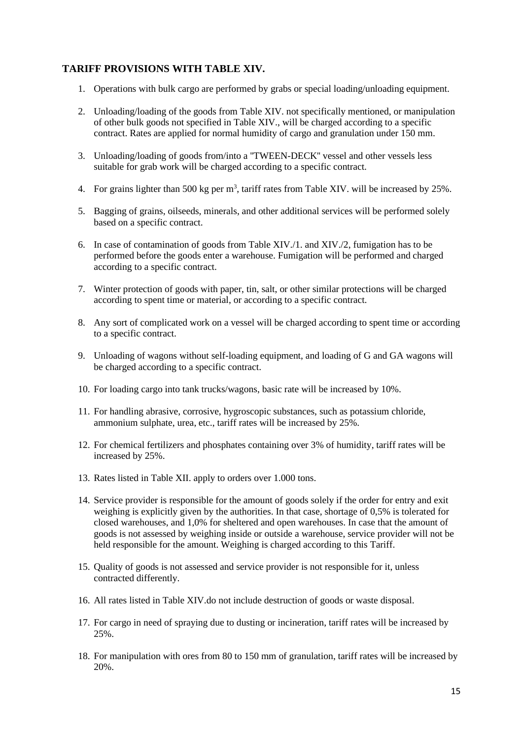#### **TARIFF PROVISIONS WITH TABLE XIV.**

- 1. Operations with bulk cargo are performed by grabs or special loading/unloading equipment.
- 2. Unloading/loading of the goods from Table XIV. not specifically mentioned, or manipulation of other bulk goods not specified in Table XIV., will be charged according to a specific contract. Rates are applied for normal humidity of cargo and granulation under 150 mm.
- 3. Unloading/loading of goods from/into a ''TWEEN-DECK'' vessel and other vessels less suitable for grab work will be charged according to a specific contract.
- 4. For grains lighter than 500 kg per  $m<sup>3</sup>$ , tariff rates from Table XIV. will be increased by 25%.
- 5. Bagging of grains, oilseeds, minerals, and other additional services will be performed solely based on a specific contract.
- 6. In case of contamination of goods from Table XIV./1. and XIV./2, fumigation has to be performed before the goods enter a warehouse. Fumigation will be performed and charged according to a specific contract.
- 7. Winter protection of goods with paper, tin, salt, or other similar protections will be charged according to spent time or material, or according to a specific contract.
- 8. Any sort of complicated work on a vessel will be charged according to spent time or according to a specific contract.
- 9. Unloading of wagons without self-loading equipment, and loading of G and GA wagons will be charged according to a specific contract.
- 10. For loading cargo into tank trucks/wagons, basic rate will be increased by 10%.
- 11. For handling abrasive, corrosive, hygroscopic substances, such as potassium chloride, ammonium sulphate, urea, etc., tariff rates will be increased by 25%.
- 12. For chemical fertilizers and phosphates containing over 3% of humidity, tariff rates will be increased by 25%.
- 13. Rates listed in Table XII. apply to orders over 1.000 tons.
- 14. Service provider is responsible for the amount of goods solely if the order for entry and exit weighing is explicitly given by the authorities. In that case, shortage of 0,5% is tolerated for closed warehouses, and 1,0% for sheltered and open warehouses. In case that the amount of goods is not assessed by weighing inside or outside a warehouse, service provider will not be held responsible for the amount. Weighing is charged according to this Tariff.
- 15. Quality of goods is not assessed and service provider is not responsible for it, unless contracted differently.
- 16. All rates listed in Table XIV.do not include destruction of goods or waste disposal.
- 17. For cargo in need of spraying due to dusting or incineration, tariff rates will be increased by 25%.
- 18. For manipulation with ores from 80 to 150 mm of granulation, tariff rates will be increased by 20%.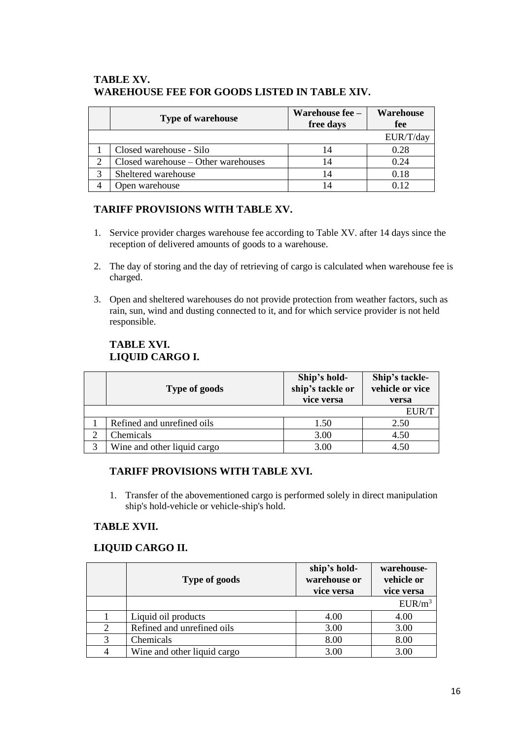## **TABLE XV. WAREHOUSE FEE FOR GOODS LISTED IN TABLE XIV.**

| <b>Type of warehouse</b>            | Warehouse fee -<br>free days | <b>Warehouse</b><br>fee |
|-------------------------------------|------------------------------|-------------------------|
|                                     |                              | EUR/T/day               |
| Closed warehouse - Silo             | 14                           | 0.28                    |
| Closed warehouse - Other warehouses | 14                           | 0.24                    |
| Sheltered warehouse                 | 14                           | 0.18                    |
| Open warehouse                      | 14                           | 012                     |

# **TARIFF PROVISIONS WITH TABLE XV.**

- 1. Service provider charges warehouse fee according to Table XV. after 14 days since the reception of delivered amounts of goods to a warehouse.
- 2. The day of storing and the day of retrieving of cargo is calculated when warehouse fee is charged.
- 3. Open and sheltered warehouses do not provide protection from weather factors, such as rain, sun, wind and dusting connected to it, and for which service provider is not held responsible.

# **TABLE XVI. LIQUID CARGO I.**

| <b>Type of goods</b>        | Ship's hold-<br>ship's tackle or<br>vice versa | Ship's tackle-<br>vehicle or vice<br>versa |
|-----------------------------|------------------------------------------------|--------------------------------------------|
|                             |                                                | EUR/T                                      |
| Refined and unrefined oils  | 1.50                                           | 2.50                                       |
| Chemicals                   | 3.00                                           | 4.50                                       |
| Wine and other liquid cargo | 3.00                                           | 4.50                                       |

## **TARIFF PROVISIONS WITH TABLE XVI.**

1. Transfer of the abovementioned cargo is performed solely in direct manipulation ship's hold-vehicle or vehicle-ship's hold.

## **TABLE XVII.**

## **LIQUID CARGO II.**

|                             | Type of goods               | ship's hold-<br>warehouse or<br>vice versa | warehouse-<br>vehicle or<br>vice versa |
|-----------------------------|-----------------------------|--------------------------------------------|----------------------------------------|
|                             |                             |                                            | $EUR/m^3$                              |
|                             | Liquid oil products         | 4.00                                       | 4.00                                   |
| $\mathcal{D}_{\mathcal{L}}$ | Refined and unrefined oils  | 3.00                                       | 3.00                                   |
| 3                           | Chemicals                   | 8.00                                       | 8.00                                   |
| 4                           | Wine and other liquid cargo | 3.00                                       | 3.00                                   |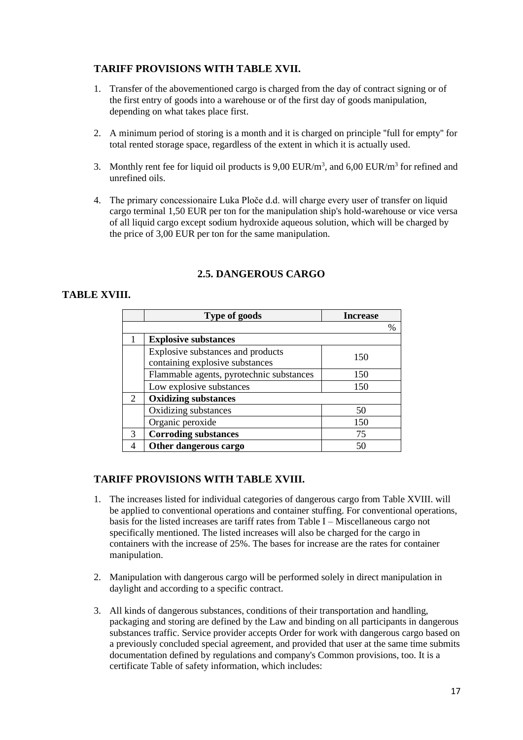# **TARIFF PROVISIONS WITH TABLE XVII.**

- 1. Transfer of the abovementioned cargo is charged from the day of contract signing or of the first entry of goods into a warehouse or of the first day of goods manipulation, depending on what takes place first.
- 2. A minimum period of storing is a month and it is charged on principle ''full for empty'' for total rented storage space, regardless of the extent in which it is actually used.
- 3. Monthly rent fee for liquid oil products is  $9,00$  EUR/m<sup>3</sup>, and  $6,00$  EUR/m<sup>3</sup> for refined and unrefined oils.
- 4. The primary concessionaire Luka Ploče d.d. will charge every user of transfer on liquid cargo terminal 1,50 EUR per ton for the manipulation ship's hold-warehouse or vice versa of all liquid cargo except sodium hydroxide aqueous solution, which will be charged by the price of 3,00 EUR per ton for the same manipulation.

# **2.5. DANGEROUS CARGO**

## **TABLE XVIII.**

|                | <b>Type of goods</b>                     | <b>Increase</b> |
|----------------|------------------------------------------|-----------------|
|                |                                          | %               |
|                | <b>Explosive substances</b>              |                 |
|                | Explosive substances and products        | 150             |
|                | containing explosive substances          |                 |
|                | Flammable agents, pyrotechnic substances | 150             |
|                | Low explosive substances                 | 150             |
| $\overline{2}$ | <b>Oxidizing substances</b>              |                 |
|                | Oxidizing substances                     | 50              |
|                | Organic peroxide                         | 150             |
| 3              | <b>Corroding substances</b>              | 75              |
|                | Other dangerous cargo                    | 50              |

## **TARIFF PROVISIONS WITH TABLE XVIII.**

- 1. The increases listed for individual categories of dangerous cargo from Table XVIII. will be applied to conventional operations and container stuffing. For conventional operations, basis for the listed increases are tariff rates from Table I – Miscellaneous cargo not specifically mentioned. The listed increases will also be charged for the cargo in containers with the increase of 25%. The bases for increase are the rates for container manipulation.
- 2. Manipulation with dangerous cargo will be performed solely in direct manipulation in daylight and according to a specific contract.
- 3. All kinds of dangerous substances, conditions of their transportation and handling, packaging and storing are defined by the Law and binding on all participants in dangerous substances traffic. Service provider accepts Order for work with dangerous cargo based on a previously concluded special agreement, and provided that user at the same time submits documentation defined by regulations and company's Common provisions, too. It is a certificate Table of safety information, which includes: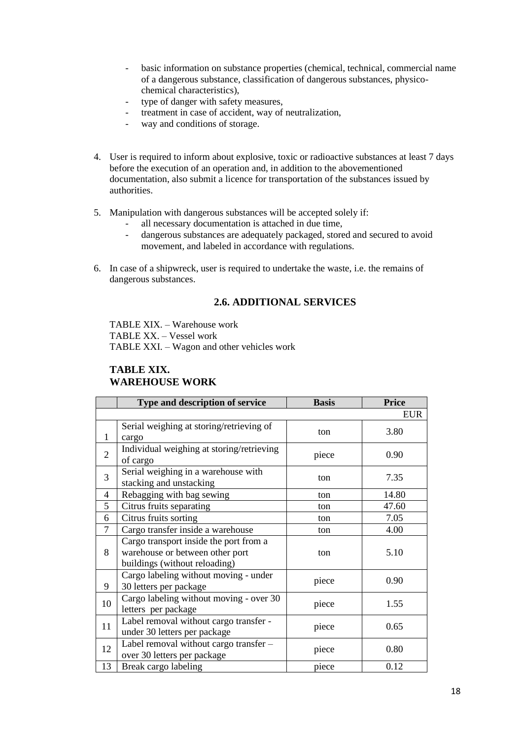- basic information on substance properties (chemical, technical, commercial name of a dangerous substance, classification of dangerous substances, physicochemical characteristics),
- type of danger with safety measures,
- treatment in case of accident, way of neutralization,
- way and conditions of storage.
- 4. User is required to inform about explosive, toxic or radioactive substances at least 7 days before the execution of an operation and, in addition to the abovementioned documentation, also submit a licence for transportation of the substances issued by authorities.
- 5. Manipulation with dangerous substances will be accepted solely if:
	- all necessary documentation is attached in due time,
	- dangerous substances are adequately packaged, stored and secured to avoid movement, and labeled in accordance with regulations.
- 6. In case of a shipwreck, user is required to undertake the waste, i.e. the remains of dangerous substances.

#### **2.6. ADDITIONAL SERVICES**

TABLE XIX. – Warehouse work TABLE XX. – Vessel work TABLE XXI. – Wagon and other vehicles work

#### **TABLE XIX. WAREHOUSE WORK**

|                | Type and description of service           | <b>Basis</b> | <b>Price</b> |
|----------------|-------------------------------------------|--------------|--------------|
|                |                                           |              | <b>EUR</b>   |
|                | Serial weighing at storing/retrieving of  | ton          | 3.80         |
| $\mathbf{1}$   | cargo                                     |              |              |
| $\overline{2}$ | Individual weighing at storing/retrieving | piece        | 0.90         |
|                | of cargo                                  |              |              |
| 3              | Serial weighing in a warehouse with       | ton          | 7.35         |
|                | stacking and unstacking                   |              |              |
| 4              | Rebagging with bag sewing                 | ton          | 14.80        |
| 5              | Citrus fruits separating                  | ton          | 47.60        |
| 6              | Citrus fruits sorting                     | ton          | 7.05         |
| $\overline{7}$ | Cargo transfer inside a warehouse         | ton          | 4.00         |
|                | Cargo transport inside the port from a    |              | 5.10         |
| 8              | warehouse or between other port           | ton          |              |
|                | buildings (without reloading)             |              |              |
|                | Cargo labeling without moving - under     | piece        | 0.90         |
| 9              | 30 letters per package                    |              |              |
| 10             | Cargo labeling without moving - over 30   | piece        | 1.55         |
|                | letters per package                       |              |              |
| 11             | Label removal without cargo transfer -    | piece        | 0.65         |
|                | under 30 letters per package              |              |              |
| 12             | Label removal without cargo transfer -    | piece        | 0.80         |
|                | over 30 letters per package               |              |              |
| 13             | Break cargo labeling                      | piece        | 0.12         |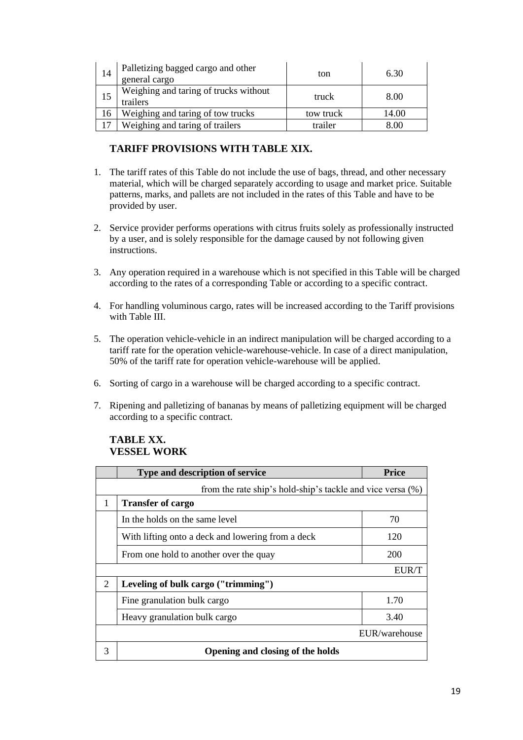| 14 | Palletizing bagged cargo and other<br>general cargo | ton       | 6.30  |
|----|-----------------------------------------------------|-----------|-------|
| 15 | Weighing and taring of trucks without<br>trailers   | truck     | 8.00  |
| 16 | Weighing and taring of tow trucks                   | tow truck | 14.00 |
|    | Weighing and taring of trailers                     | trailer   | 8 OC  |

# **TARIFF PROVISIONS WITH TABLE XIX.**

- 1. The tariff rates of this Table do not include the use of bags, thread, and other necessary material, which will be charged separately according to usage and market price. Suitable patterns, marks, and pallets are not included in the rates of this Table and have to be provided by user.
- 2. Service provider performs operations with citrus fruits solely as professionally instructed by a user, and is solely responsible for the damage caused by not following given instructions.
- 3. Any operation required in a warehouse which is not specified in this Table will be charged according to the rates of a corresponding Table or according to a specific contract.
- 4. For handling voluminous cargo, rates will be increased according to the Tariff provisions with Table III.
- 5. The operation vehicle-vehicle in an indirect manipulation will be charged according to a tariff rate for the operation vehicle-warehouse-vehicle. In case of a direct manipulation, 50% of the tariff rate for operation vehicle-warehouse will be applied.
- 6. Sorting of cargo in a warehouse will be charged according to a specific contract.
- 7. Ripening and palletizing of bananas by means of palletizing equipment will be charged according to a specific contract.

#### **TABLE XX. VESSEL WORK**

|   | Type and description of service                            | <b>Price</b> |  |  |
|---|------------------------------------------------------------|--------------|--|--|
|   | from the rate ship's hold-ship's tackle and vice versa (%) |              |  |  |
| 1 | <b>Transfer of cargo</b>                                   |              |  |  |
|   | In the holds on the same level                             | 70           |  |  |
|   | With lifting onto a deck and lowering from a deck          | 120          |  |  |
|   | From one hold to another over the quay                     | 200          |  |  |
|   |                                                            | EUR/T        |  |  |
| 2 | Leveling of bulk cargo ("trimming")                        |              |  |  |
|   | Fine granulation bulk cargo                                | 1.70         |  |  |
|   | Heavy granulation bulk cargo                               | 3.40         |  |  |
|   | EUR/warehouse                                              |              |  |  |
| 3 | Opening and closing of the holds                           |              |  |  |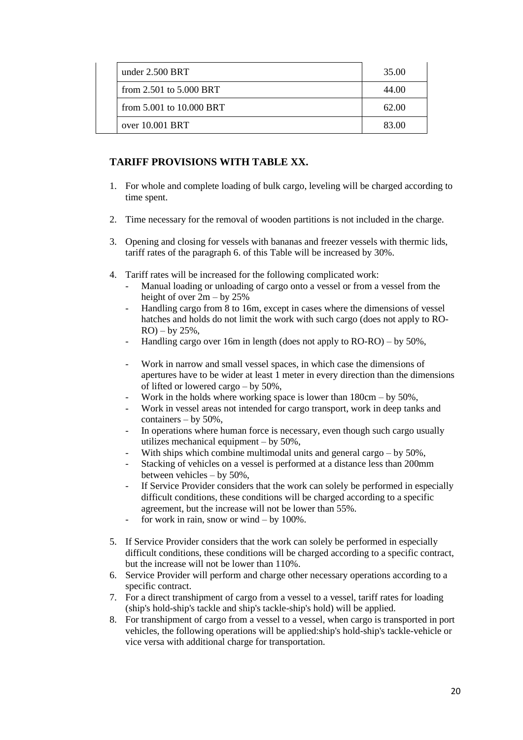| under $2.500$ BRT           | 35.00 |
|-----------------------------|-------|
| from $2.501$ to $5.000$ BRT | 44.00 |
| from 5.001 to 10.000 BRT    | 62.00 |
| over 10,001 BRT             | 83.00 |

# **TARIFF PROVISIONS WITH TABLE XX.**

- 1. For whole and complete loading of bulk cargo, leveling will be charged according to time spent.
- 2. Time necessary for the removal of wooden partitions is not included in the charge.
- 3. Opening and closing for vessels with bananas and freezer vessels with thermic lids, tariff rates of the paragraph 6. of this Table will be increased by 30%.
- 4. Tariff rates will be increased for the following complicated work:
	- Manual loading or unloading of cargo onto a vessel or from a vessel from the height of over  $2m - by 25%$
	- Handling cargo from 8 to 16m, except in cases where the dimensions of vessel hatches and holds do not limit the work with such cargo (does not apply to RO- $RO$ ) – by 25%,
	- Handling cargo over 16m in length (does not apply to RO-RO) by 50%,
	- Work in narrow and small vessel spaces, in which case the dimensions of apertures have to be wider at least 1 meter in every direction than the dimensions of lifted or lowered cargo – by 50%,
	- Work in the holds where working space is lower than  $180 \text{cm} \text{by } 50\%$ ,
	- Work in vessel areas not intended for cargo transport, work in deep tanks and containers – by 50%,
	- In operations where human force is necessary, even though such cargo usually utilizes mechanical equipment – by 50%,
	- With ships which combine multimodal units and general cargo by  $50\%$ ,
	- Stacking of vehicles on a vessel is performed at a distance less than 200mm between vehicles – by 50%,
	- If Service Provider considers that the work can solely be performed in especially difficult conditions, these conditions will be charged according to a specific agreement, but the increase will not be lower than 55%.
	- for work in rain, snow or wind by  $100\%$ .
- 5. If Service Provider considers that the work can solely be performed in especially difficult conditions, these conditions will be charged according to a specific contract, but the increase will not be lower than 110%.
- 6. Service Provider will perform and charge other necessary operations according to a specific contract.
- 7. For a direct transhipment of cargo from a vessel to a vessel, tariff rates for loading (ship's hold-ship's tackle and ship's tackle-ship's hold) will be applied.
- 8. For transhipment of cargo from a vessel to a vessel, when cargo is transported in port vehicles, the following operations will be applied:ship's hold-ship's tackle-vehicle or vice versa with additional charge for transportation.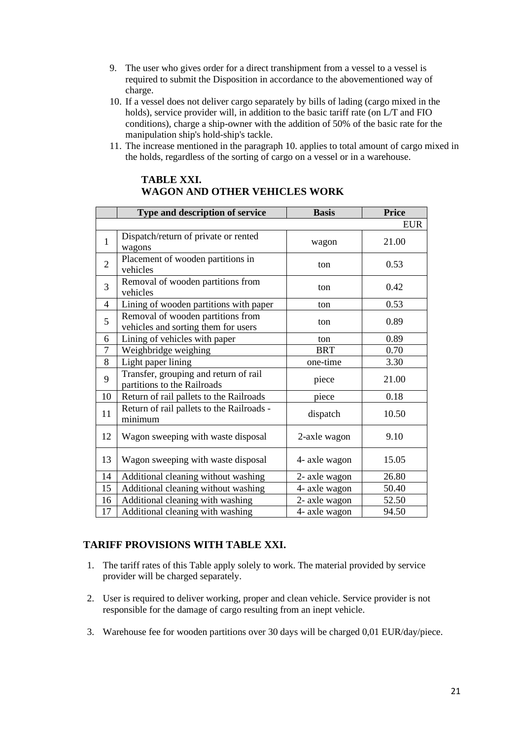- 9. The user who gives order for a direct transhipment from a vessel to a vessel is required to submit the Disposition in accordance to the abovementioned way of charge.
- 10. If a vessel does not deliver cargo separately by bills of lading (cargo mixed in the holds), service provider will, in addition to the basic tariff rate (on L/T and FIO conditions), charge a ship-owner with the addition of 50% of the basic rate for the manipulation ship's hold-ship's tackle.
- 11. The increase mentioned in the paragraph 10. applies to total amount of cargo mixed in the holds, regardless of the sorting of cargo on a vessel or in a warehouse.

|                | Type and description of service                                          | <b>Basis</b>  | <b>Price</b> |
|----------------|--------------------------------------------------------------------------|---------------|--------------|
|                |                                                                          |               | <b>EUR</b>   |
| $\mathbf{1}$   | Dispatch/return of private or rented<br>wagons                           | wagon         | 21.00        |
| $\overline{2}$ | Placement of wooden partitions in<br>vehicles                            | ton           | 0.53         |
| 3              | Removal of wooden partitions from<br>vehicles                            | ton           | 0.42         |
| $\overline{4}$ | Lining of wooden partitions with paper                                   | ton           | 0.53         |
| 5              | Removal of wooden partitions from<br>vehicles and sorting them for users | ton           | 0.89         |
| 6              | Lining of vehicles with paper                                            | ton           | 0.89         |
| $\overline{7}$ | Weighbridge weighing                                                     | <b>BRT</b>    | 0.70         |
| 8              | Light paper lining                                                       | one-time      | 3.30         |
| 9              | Transfer, grouping and return of rail<br>partitions to the Railroads     | piece         | 21.00        |
| 10             | Return of rail pallets to the Railroads                                  | piece         | 0.18         |
| 11             | Return of rail pallets to the Railroads -<br>minimum                     | dispatch      | 10.50        |
| 12             | Wagon sweeping with waste disposal                                       | 2-axle wagon  | 9.10         |
| 13             | Wagon sweeping with waste disposal                                       | 4- axle wagon | 15.05        |
| 14             | Additional cleaning without washing                                      | 2- axle wagon | 26.80        |
| 15             | Additional cleaning without washing                                      | 4- axle wagon | 50.40        |
| 16             | Additional cleaning with washing                                         | 2- axle wagon | 52.50        |
| 17             | Additional cleaning with washing                                         | 4- axle wagon | 94.50        |

### **TABLE XXI. WAGON AND OTHER VEHICLES WORK**

# **TARIFF PROVISIONS WITH TABLE XXI.**

- 1. The tariff rates of this Table apply solely to work. The material provided by service provider will be charged separately.
- 2. User is required to deliver working, proper and clean vehicle. Service provider is not responsible for the damage of cargo resulting from an inept vehicle.
- 3. Warehouse fee for wooden partitions over 30 days will be charged 0,01 EUR/day/piece.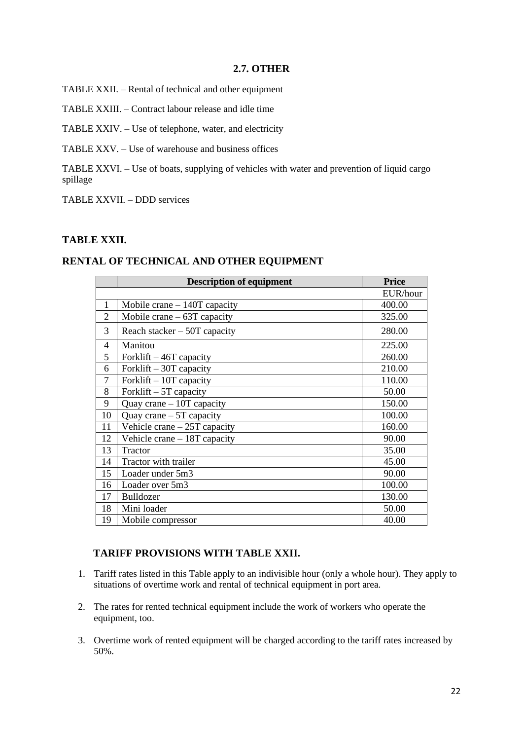#### **2.7. OTHER**

TABLE XXII. – Rental of technical and other equipment

TABLE XXIII. – Contract labour release and idle time

TABLE XXIV. – Use of telephone, water, and electricity

TABLE XXV. – Use of warehouse and business offices

TABLE XXVI. – Use of boats, supplying of vehicles with water and prevention of liquid cargo spillage

TABLE XXVII. – DDD services

#### **TABLE XXII.**

#### **RENTAL OF TECHNICAL AND OTHER EQUIPMENT**

|                          | <b>Description of equipment</b> | <b>Price</b> |
|--------------------------|---------------------------------|--------------|
|                          |                                 | EUR/hour     |
| $\mathbf{1}$             | Mobile crane $-140T$ capacity   | 400.00       |
| $\overline{2}$           | Mobile crane $-63T$ capacity    | 325.00       |
| 3                        | Reach stacker $-50T$ capacity   | 280.00       |
| $\overline{\mathcal{A}}$ | Manitou                         | 225.00       |
| 5                        | Forklift $-46T$ capacity        | 260.00       |
| 6                        | Forklift $-30T$ capacity        | 210.00       |
| 7                        | Forklift $-10T$ capacity        | 110.00       |
| 8                        | Forklift $-5T$ capacity         | 50.00        |
| 9                        | Quay crane $-10T$ capacity      | 150.00       |
| 10                       | Quay crane $-5T$ capacity       | 100.00       |
| 11                       | Vehicle crane $-25T$ capacity   | 160.00       |
| 12                       | Vehicle crane $-18T$ capacity   | 90.00        |
| 13                       | Tractor                         | 35.00        |
| 14                       | Tractor with trailer            | 45.00        |
| 15                       | Loader under 5m3                | 90.00        |
| 16                       | Loader over 5m3                 | 100.00       |
| 17                       | Bulldozer                       | 130.00       |
| 18                       | Mini loader                     | 50.00        |
| 19                       | Mobile compressor               | 40.00        |

## **TARIFF PROVISIONS WITH TABLE XXII.**

- 1. Tariff rates listed in this Table apply to an indivisible hour (only a whole hour). They apply to situations of overtime work and rental of technical equipment in port area.
- 2. The rates for rented technical equipment include the work of workers who operate the equipment, too.
- 3. Overtime work of rented equipment will be charged according to the tariff rates increased by 50%.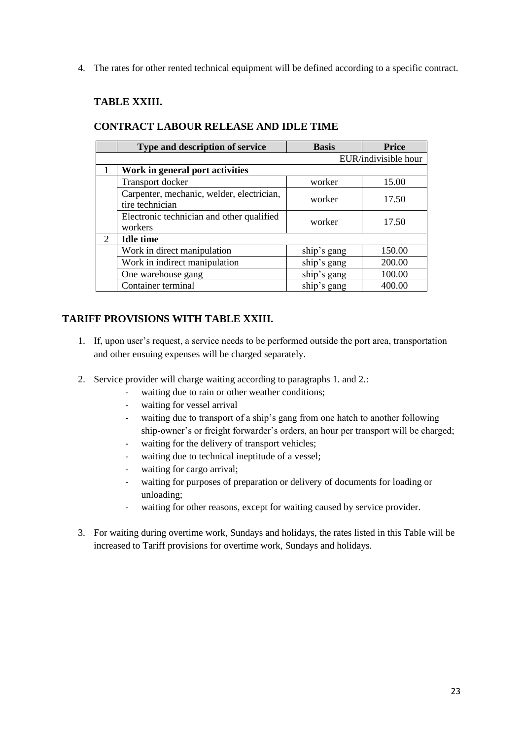4. The rates for other rented technical equipment will be defined according to a specific contract.

## **TABLE XXIII.**

|                             | Type and description of service                              | <b>Basis</b> | <b>Price</b>         |
|-----------------------------|--------------------------------------------------------------|--------------|----------------------|
|                             |                                                              |              | EUR/indivisible hour |
|                             | Work in general port activities                              |              |                      |
|                             | Transport docker                                             | worker       | 15.00                |
|                             | Carpenter, mechanic, welder, electrician,<br>tire technician | worker       | 17.50                |
|                             | Electronic technician and other qualified<br>workers         | worker       | 17.50                |
| $\mathcal{D}_{\mathcal{L}}$ | <b>Idle time</b>                                             |              |                      |
|                             | Work in direct manipulation                                  | ship's gang  | 150.00               |
|                             | Work in indirect manipulation                                | ship's gang  | 200.00               |
|                             | One warehouse gang                                           | ship's gang  | 100.00               |
|                             | Container terminal                                           | ship's gang  | 400.00               |

## **CONTRACT LABOUR RELEASE AND IDLE TIME**

## **TARIFF PROVISIONS WITH TABLE XXIII.**

- 1. If, upon user's request, a service needs to be performed outside the port area, transportation and other ensuing expenses will be charged separately.
- 2. Service provider will charge waiting according to paragraphs 1. and 2.:
	- waiting due to rain or other weather conditions;
	- waiting for vessel arrival
	- waiting due to transport of a ship's gang from one hatch to another following ship-owner's or freight forwarder's orders, an hour per transport will be charged;
	- waiting for the delivery of transport vehicles;
	- waiting due to technical ineptitude of a vessel;
	- waiting for cargo arrival;
	- waiting for purposes of preparation or delivery of documents for loading or unloading;
	- waiting for other reasons, except for waiting caused by service provider.
- 3. For waiting during overtime work, Sundays and holidays, the rates listed in this Table will be increased to Tariff provisions for overtime work, Sundays and holidays.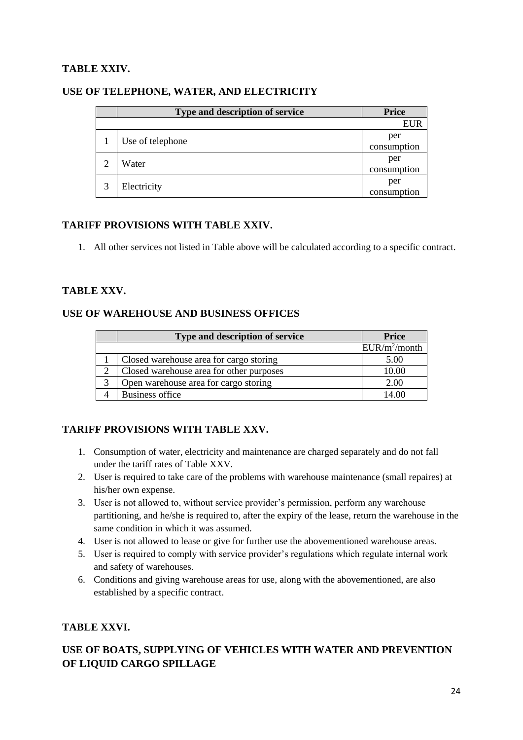# **TABLE XXIV.**

|   | Type and description of service | <b>Price</b>       |
|---|---------------------------------|--------------------|
|   |                                 | <b>EUR</b>         |
|   | Use of telephone                | per<br>consumption |
| ∍ | Water                           | per<br>consumption |
| 3 | Electricity                     | per<br>consumption |

### **USE OF TELEPHONE, WATER, AND ELECTRICITY**

#### **TARIFF PROVISIONS WITH TABLE XXIV.**

1. All other services not listed in Table above will be calculated according to a specific contract.

## **TABLE XXV.**

## **USE OF WAREHOUSE AND BUSINESS OFFICES**

|   | Type and description of service          | <b>Price</b>    |
|---|------------------------------------------|-----------------|
|   |                                          | $EUR/m^2/month$ |
|   | Closed warehouse area for cargo storing  | 5.00            |
|   | Closed warehouse area for other purposes | 10.00           |
| 3 | Open warehouse area for cargo storing    | 2.00            |
|   | <b>Business office</b>                   | 14 OO           |

## **TARIFF PROVISIONS WITH TABLE XXV.**

- 1. Consumption of water, electricity and maintenance are charged separately and do not fall under the tariff rates of Table XXV.
- 2. User is required to take care of the problems with warehouse maintenance (small repaires) at his/her own expense.
- 3. User is not allowed to, without service provider's permission, perform any warehouse partitioning, and he/she is required to, after the expiry of the lease, return the warehouse in the same condition in which it was assumed.
- 4. User is not allowed to lease or give for further use the abovementioned warehouse areas.
- 5. User is required to comply with service provider's regulations which regulate internal work and safety of warehouses.
- 6. Conditions and giving warehouse areas for use, along with the abovementioned, are also established by a specific contract.

## **TABLE XXVI.**

# **USE OF BOATS, SUPPLYING OF VEHICLES WITH WATER AND PREVENTION OF LIQUID CARGO SPILLAGE**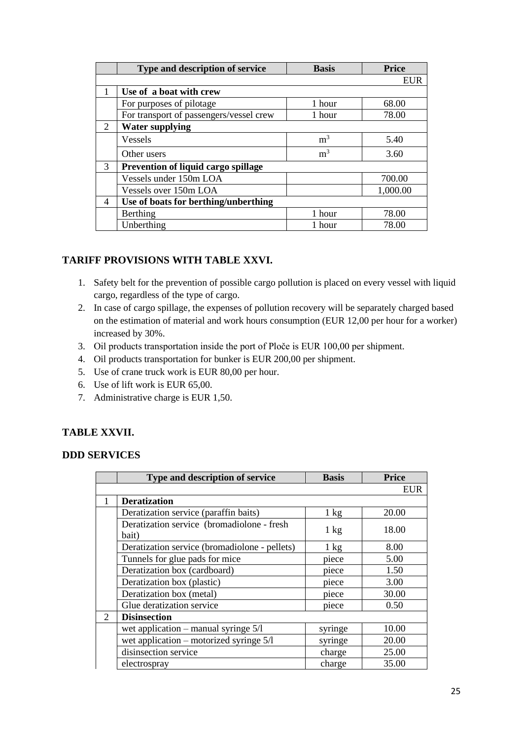|   | Type and description of service            | <b>Basis</b>   | <b>Price</b> |
|---|--------------------------------------------|----------------|--------------|
|   |                                            |                | <b>EUR</b>   |
|   | Use of a boat with crew                    |                |              |
|   | For purposes of pilotage                   | 1 hour         | 68.00        |
|   | For transport of passengers/vessel crew    | 1 hour         | 78.00        |
| 2 | <b>Water supplying</b>                     |                |              |
|   | <b>Vessels</b>                             | m <sup>3</sup> | 5.40         |
|   | Other users                                | m <sup>3</sup> | 3.60         |
| 3 | <b>Prevention of liquid cargo spillage</b> |                |              |
|   | Vessels under 150m LOA                     |                | 700.00       |
|   | Vessels over 150m LOA                      |                | 1,000.00     |
| 4 | Use of boats for berthing/unberthing       |                |              |
|   | Berthing                                   | 1 hour         | 78.00        |
|   | Unberthing                                 | 1 hour         | 78.00        |

# **TARIFF PROVISIONS WITH TABLE XXVI.**

- 1. Safety belt for the prevention of possible cargo pollution is placed on every vessel with liquid cargo, regardless of the type of cargo.
- 2. In case of cargo spillage, the expenses of pollution recovery will be separately charged based on the estimation of material and work hours consumption (EUR 12,00 per hour for a worker) increased by 30%.
- 3. Oil products transportation inside the port of Ploče is EUR 100,00 per shipment.
- 4. Oil products transportation for bunker is EUR 200,00 per shipment.
- 5. Use of crane truck work is EUR 80,00 per hour.
- 6. Use of lift work is EUR 65,00.
- 7. Administrative charge is EUR 1,50.

# **TABLE XXVII.**

## **DDD SERVICES**

|   | Type and description of service                     | <b>Basis</b>   | <b>Price</b> |
|---|-----------------------------------------------------|----------------|--------------|
|   |                                                     |                | <b>EUR</b>   |
|   | <b>Deratization</b>                                 |                |              |
|   | Deratization service (paraffin baits)               | $1 \text{ kg}$ | 20.00        |
|   | Deratization service (bromadiolone - fresh<br>bait) | $1 \text{ kg}$ | 18.00        |
|   | Deratization service (bromadiolone - pellets)       | $1 \text{ kg}$ | 8.00         |
|   | Tunnels for glue pads for mice                      | piece          | 5.00         |
|   | Deratization box (cardboard)                        | piece          | 1.50         |
|   | Deratization box (plastic)                          | piece          | 3.00         |
|   | Deratization box (metal)                            | piece          | 30.00        |
|   | Glue deratization service                           | piece          | 0.50         |
| 2 | <b>Disinsection</b>                                 |                |              |
|   | wet application – manual syringe $5/1$              | syringe        | 10.00        |
|   | wet application – motorized syringe $5/1$           | syringe        | 20.00        |
|   | disinsection service                                | charge         | 25.00        |
|   | electrospray                                        | charge         | 35.00        |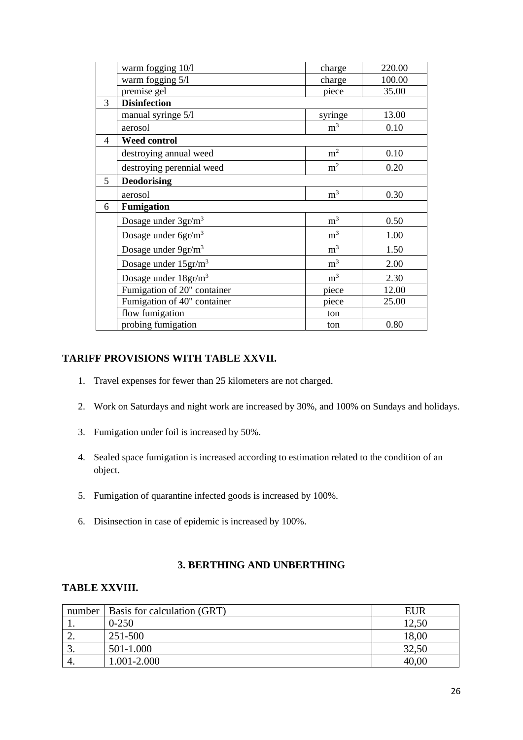|   | warm fogging 10/1                | charge         | 220.00 |
|---|----------------------------------|----------------|--------|
|   | warm fogging 5/l                 | charge         | 100.00 |
|   | premise gel                      | piece          | 35.00  |
| 3 | <b>Disinfection</b>              |                |        |
|   | manual syringe 5/1               | syringe        | 13.00  |
|   | aerosol                          | m <sup>3</sup> | 0.10   |
| 4 | <b>Weed control</b>              |                |        |
|   | destroying annual weed           | m <sup>2</sup> | 0.10   |
|   | destroying perennial weed        | m <sup>2</sup> | 0.20   |
| 5 | <b>Deodorising</b>               |                |        |
|   | aerosol                          | m <sup>3</sup> | 0.30   |
| 6 | <b>Fumigation</b>                |                |        |
|   | Dosage under $3gr/m3$            | m <sup>3</sup> | 0.50   |
|   | Dosage under 6gr/m <sup>3</sup>  | m <sup>3</sup> | 1.00   |
|   | Dosage under 9gr/m <sup>3</sup>  | m <sup>3</sup> | 1.50   |
|   | Dosage under $15 \text{gr/m}^3$  | m <sup>3</sup> | 2.00   |
|   | Dosage under 18gr/m <sup>3</sup> | m <sup>3</sup> | 2.30   |
|   | Fumigation of 20" container      | piece          | 12.00  |
|   | Fumigation of 40" container      | piece          | 25.00  |
|   | flow fumigation                  | ton            |        |
|   | probing fumigation               | ton            | 0.80   |

## **TARIFF PROVISIONS WITH TABLE XXVII.**

- 1. Travel expenses for fewer than 25 kilometers are not charged.
- 2. Work on Saturdays and night work are increased by 30%, and 100% on Sundays and holidays.
- 3. Fumigation under foil is increased by 50%.
- 4. Sealed space fumigation is increased according to estimation related to the condition of an object.
- 5. Fumigation of quarantine infected goods is increased by 100%.
- 6. Disinsection in case of epidemic is increased by 100%.

# **3. BERTHING AND UNBERTHING**

### **TABLE XXVIII.**

| number | Basis for calculation (GRT) | EUR   |
|--------|-----------------------------|-------|
|        | $0 - 250$                   | 12,50 |
| ـ _    | 251-500                     | 18,00 |
|        | 501-1.000                   | 32,50 |
|        | 1.001-2.000                 | 40.00 |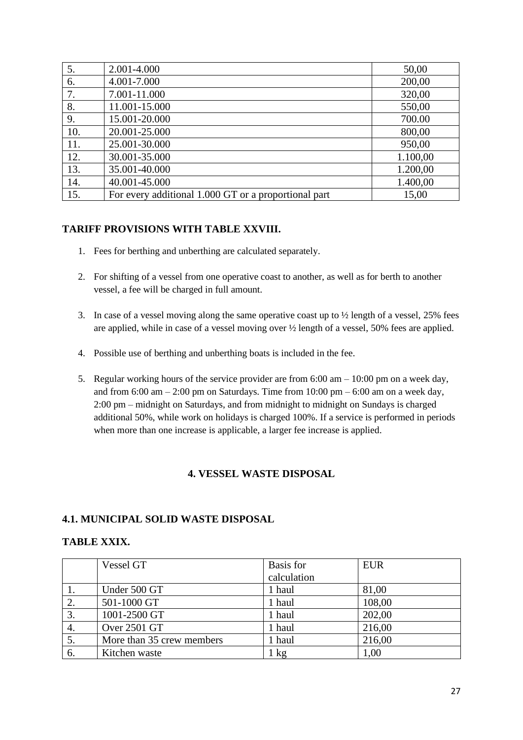| 5.  | 2.001-4.000                                          | 50,00    |
|-----|------------------------------------------------------|----------|
| 6.  | 4.001-7.000                                          | 200,00   |
| 7.  | 7.001-11.000                                         | 320,00   |
| 8.  | 11.001-15.000                                        | 550,00   |
| 9.  | 15.001-20.000                                        | 700.00   |
| 10. | 20.001-25.000                                        | 800,00   |
| 11. | 25.001-30.000                                        | 950,00   |
| 12. | 30.001-35.000                                        | 1.100,00 |
| 13. | 35.001-40.000                                        | 1.200,00 |
| 14. | 40.001-45.000                                        | 1.400,00 |
| 15. | For every additional 1.000 GT or a proportional part | 15,00    |

### **TARIFF PROVISIONS WITH TABLE XXVIII.**

- 1. Fees for berthing and unberthing are calculated separately.
- 2. For shifting of a vessel from one operative coast to another, as well as for berth to another vessel, a fee will be charged in full amount.
- 3. In case of a vessel moving along the same operative coast up to ½ length of a vessel, 25% fees are applied, while in case of a vessel moving over ½ length of a vessel, 50% fees are applied.
- 4. Possible use of berthing and unberthing boats is included in the fee.
- 5. Regular working hours of the service provider are from 6:00 am 10:00 pm on a week day, and from  $6:00 \text{ am} - 2:00 \text{ pm}$  on Saturdays. Time from  $10:00 \text{ pm} - 6:00 \text{ am}$  on a week day, 2:00 pm – midnight on Saturdays, and from midnight to midnight on Sundays is charged additional 50%, while work on holidays is charged 100%. If a service is performed in periods when more than one increase is applicable, a larger fee increase is applied.

#### **4. VESSEL WASTE DISPOSAL**

#### **4.1. MUNICIPAL SOLID WASTE DISPOSAL**

#### **TABLE XXIX.**

|    | Vessel GT                 | Basis for   | <b>EUR</b> |
|----|---------------------------|-------------|------------|
|    |                           | calculation |            |
|    | Under 500 GT              | 1 haul      | 81,00      |
| 2. | 501-1000 GT               | 1 haul      | 108,00     |
| 3. | 1001-2500 GT              | 1 haul      | 202,00     |
| 4. | Over 2501 GT              | 1 haul      | 216,00     |
|    | More than 35 crew members | 1 haul      | 216,00     |
| 6. | Kitchen waste             | 1 kg        | 1.00       |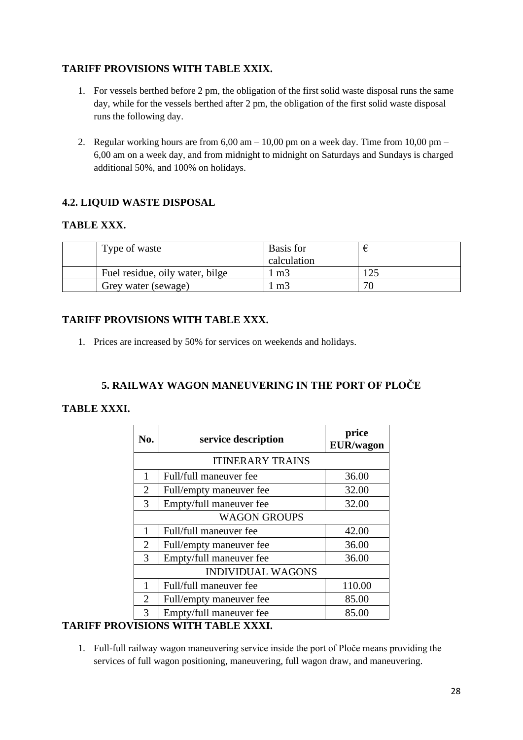# **TARIFF PROVISIONS WITH TABLE XXIX.**

- 1. For vessels berthed before 2 pm, the obligation of the first solid waste disposal runs the same day, while for the vessels berthed after 2 pm, the obligation of the first solid waste disposal runs the following day.
- 2. Regular working hours are from  $6,00$  am  $-10,00$  pm on a week day. Time from  $10,00$  pm  $-$ 6,00 am on a week day, and from midnight to midnight on Saturdays and Sundays is charged additional 50%, and 100% on holidays.

# **4.2. LIQUID WASTE DISPOSAL**

#### **TABLE XXX.**

| Type of waste                   | Basis for<br>calculation |    |
|---------------------------------|--------------------------|----|
| Fuel residue, oily water, bilge | m <sub>3</sub>           |    |
| Grey water (sewage)             | m <sub>3</sub>           | 70 |

## **TARIFF PROVISIONS WITH TABLE XXX.**

1. Prices are increased by 50% for services on weekends and holidays.

# **5. RAILWAY WAGON MANEUVERING IN THE PORT OF PLOČE**

## **TABLE XXXI.**

| No.                      | service description     | price<br><b>EUR/wagon</b> |  |
|--------------------------|-------------------------|---------------------------|--|
| <b>ITINERARY TRAINS</b>  |                         |                           |  |
| 1                        | Full/full maneuver fee  | 36.00                     |  |
| 2                        | Full/empty maneuver fee | 32.00                     |  |
| 3                        | Empty/full maneuver fee | 32.00                     |  |
| <b>WAGON GROUPS</b>      |                         |                           |  |
| 1                        | Full/full maneuver fee  | 42.00                     |  |
| 2                        | Full/empty maneuver fee | 36.00                     |  |
| 3                        | Empty/full maneuver fee | 36.00                     |  |
| <b>INDIVIDUAL WAGONS</b> |                         |                           |  |
| 1                        | Full/full maneuver fee  | 110.00                    |  |
| $\overline{2}$           | Full/empty maneuver fee | 85.00                     |  |
| 3                        | Empty/full maneuver fee | 85.00                     |  |

## **TARIFF PROVISIONS WITH TABLE XXXI.**

1. Full-full railway wagon maneuvering service inside the port of Ploče means providing the services of full wagon positioning, maneuvering, full wagon draw, and maneuvering.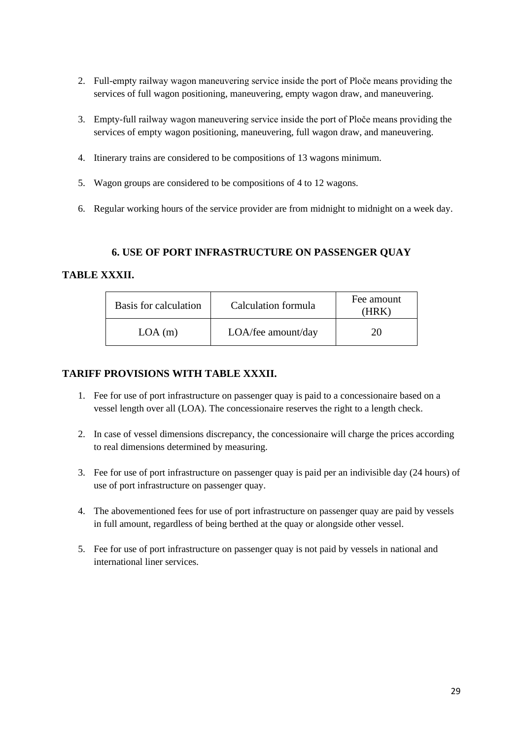- 2. Full-empty railway wagon maneuvering service inside the port of Ploče means providing the services of full wagon positioning, maneuvering, empty wagon draw, and maneuvering.
- 3. Empty-full railway wagon maneuvering service inside the port of Ploče means providing the services of empty wagon positioning, maneuvering, full wagon draw, and maneuvering.
- 4. Itinerary trains are considered to be compositions of 13 wagons minimum.
- 5. Wagon groups are considered to be compositions of 4 to 12 wagons.
- 6. Regular working hours of the service provider are from midnight to midnight on a week day.

#### **6. USE OF PORT INFRASTRUCTURE ON PASSENGER QUAY**

#### **TABLE XXXII.**

| Basis for calculation | Calculation formula | Fee amount |
|-----------------------|---------------------|------------|
| LOA(m)                | LOA/fee amount/day  |            |

#### **TARIFF PROVISIONS WITH TABLE XXXII.**

- 1. Fee for use of port infrastructure on passenger quay is paid to a concessionaire based on a vessel length over all (LOA). The concessionaire reserves the right to a length check.
- 2. In case of vessel dimensions discrepancy, the concessionaire will charge the prices according to real dimensions determined by measuring.
- 3. Fee for use of port infrastructure on passenger quay is paid per an indivisible day (24 hours) of use of port infrastructure on passenger quay.
- 4. The abovementioned fees for use of port infrastructure on passenger quay are paid by vessels in full amount, regardless of being berthed at the quay or alongside other vessel.
- 5. Fee for use of port infrastructure on passenger quay is not paid by vessels in national and international liner services.